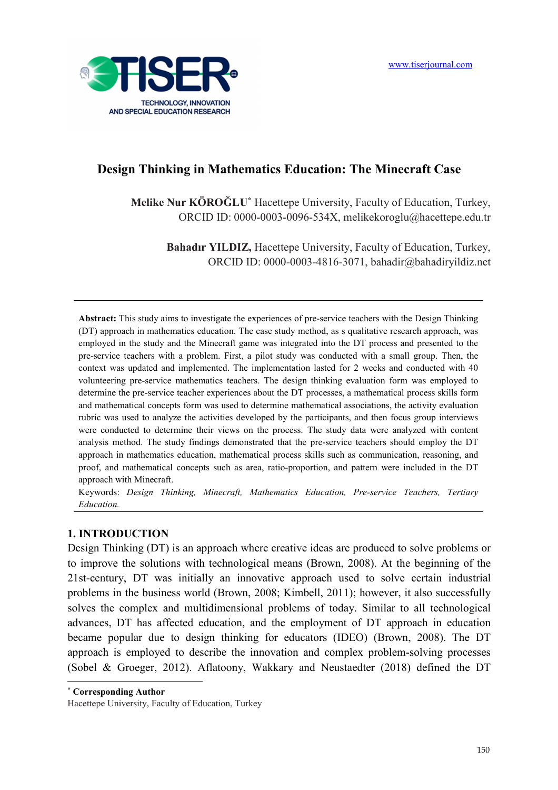

## **Design Thinking in Mathematics Education: The Minecraft Case**

**Melike Nur KÖROĞLU\*** Hacettepe University, Faculty of Education, Turkey, ORCID ID: 0000-0003-0096-534X, melikekoroglu@hacettepe.edu.tr

**Bahadır YILDIZ, Hacettepe University, Faculty of Education, Turkey,** ORCID ID: 0000-0003-4816-3071, bahadir@bahadiryildiz.net

**Abstract:** This study aims to investigate the experiences of pre-service teachers with the Design Thinking (DT) approach in mathematics education. The case study method, as s qualitative research approach, was employed in the study and the Minecraft game was integrated into the DT process and presented to the pre-service teachers with a problem. First, a pilot study was conducted with a small group. Then, the context was updated and implemented. The implementation lasted for 2 weeks and conducted with 40 volunteering pre-service mathematics teachers. The design thinking evaluation form was employed to determine the pre-service teacher experiences about the DT processes, a mathematical process skills form and mathematical concepts form was used to determine mathematical associations, the activity evaluation rubric was used to analyze the activities developed by the participants, and then focus group interviews were conducted to determine their views on the process. The study data were analyzed with content analysis method. The study findings demonstrated that the pre-service teachers should employ the DT approach in mathematics education, mathematical process skills such as communication, reasoning, and proof, and mathematical concepts such as area, ratio-proportion, and pattern were included in the DT approach with Minecraft.

Keywords: *Design Thinking, Minecraft, Mathematics Education, Pre-service Teachers, Tertiary Education.* 

#### **1. INTRODUCTION**

Design Thinking (DT) is an approach where creative ideas are produced to solve problems or to improve the solutions with technological means (Brown, 2008). At the beginning of the 21st-century, DT was initially an innovative approach used to solve certain industrial problems in the business world (Brown, 2008; Kimbell, 2011); however, it also successfully solves the complex and multidimensional problems of today. Similar to all technological advances, DT has affected education, and the employment of DT approach in education became popular due to design thinking for educators (IDEO) (Brown, 2008). The DT approach is employed to describe the innovation and complex problem-solving processes (Sobel & Groeger, 2012). Aflatoony, Wakkary and Neustaedter (2018) defined the DT  $\overline{a}$ 

**\* Corresponding Author** 

Hacettepe University, Faculty of Education, Turkey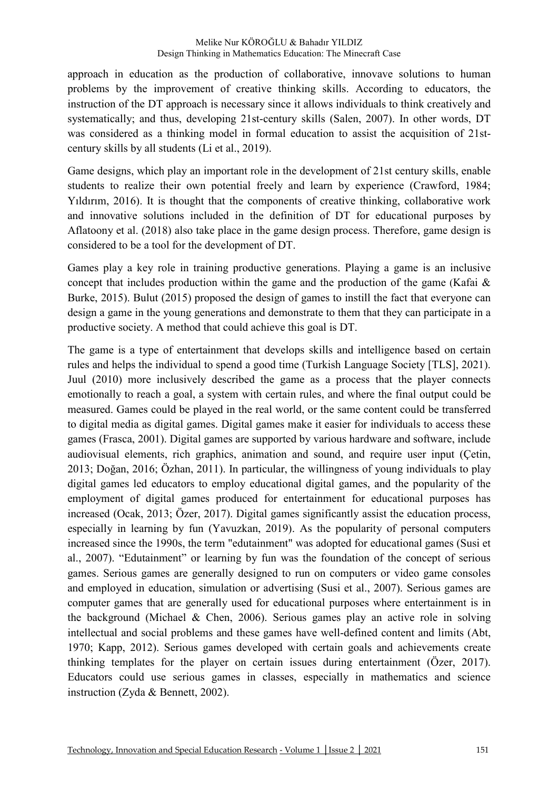approach in education as the production of collaborative, innovave solutions to human problems by the improvement of creative thinking skills. According to educators, the instruction of the DT approach is necessary since it allows individuals to think creatively and systematically; and thus, developing 21st-century skills (Salen, 2007). In other words, DT was considered as a thinking model in formal education to assist the acquisition of 21stcentury skills by all students (Li et al., 2019).

Game designs, which play an important role in the development of 21st century skills, enable students to realize their own potential freely and learn by experience (Crawford, 1984; Yıldırım, 2016). It is thought that the components of creative thinking, collaborative work and innovative solutions included in the definition of DT for educational purposes by Aflatoony et al. (2018) also take place in the game design process. Therefore, game design is considered to be a tool for the development of DT.

Games play a key role in training productive generations. Playing a game is an inclusive concept that includes production within the game and the production of the game (Kafai  $\&$ Burke, 2015). Bulut (2015) proposed the design of games to instill the fact that everyone can design a game in the young generations and demonstrate to them that they can participate in a productive society. A method that could achieve this goal is DT.

The game is a type of entertainment that develops skills and intelligence based on certain rules and helps the individual to spend a good time (Turkish Language Society [TLS], 2021). Juul (2010) more inclusively described the game as a process that the player connects emotionally to reach a goal, a system with certain rules, and where the final output could be measured. Games could be played in the real world, or the same content could be transferred to digital media as digital games. Digital games make it easier for individuals to access these games (Frasca, 2001). Digital games are supported by various hardware and software, include audiovisual elements, rich graphics, animation and sound, and require user input (Çetin, 2013; Doğan, 2016; Özhan, 2011). In particular, the willingness of young individuals to play digital games led educators to employ educational digital games, and the popularity of the employment of digital games produced for entertainment for educational purposes has increased (Ocak, 2013; Özer, 2017). Digital games significantly assist the education process, especially in learning by fun (Yavuzkan, 2019). As the popularity of personal computers increased since the 1990s, the term "edutainment" was adopted for educational games (Susi et al., 2007). "Edutainment" or learning by fun was the foundation of the concept of serious games. Serious games are generally designed to run on computers or video game consoles and employed in education, simulation or advertising (Susi et al., 2007). Serious games are computer games that are generally used for educational purposes where entertainment is in the background (Michael & Chen, 2006). Serious games play an active role in solving intellectual and social problems and these games have well-defined content and limits (Abt, 1970; Kapp, 2012). Serious games developed with certain goals and achievements create thinking templates for the player on certain issues during entertainment (Özer, 2017). Educators could use serious games in classes, especially in mathematics and science instruction (Zyda & Bennett, 2002).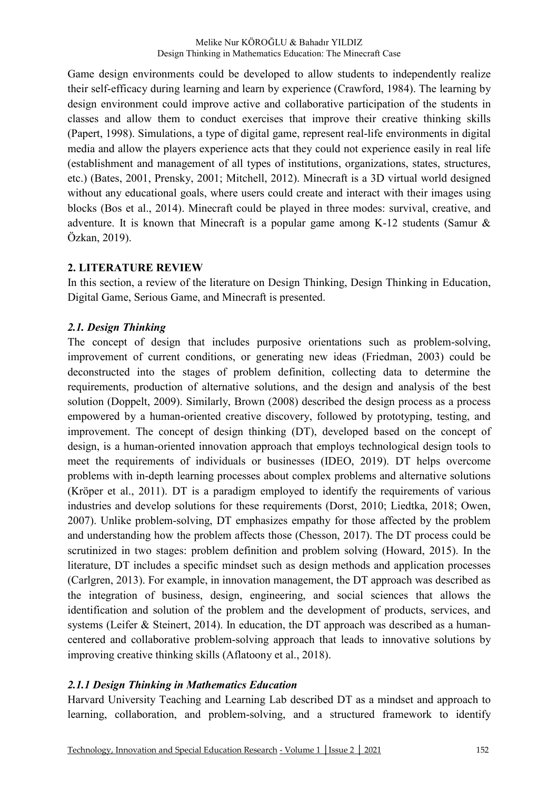Game design environments could be developed to allow students to independently realize their self-efficacy during learning and learn by experience (Crawford, 1984). The learning by design environment could improve active and collaborative participation of the students in classes and allow them to conduct exercises that improve their creative thinking skills (Papert, 1998). Simulations, a type of digital game, represent real-life environments in digital media and allow the players experience acts that they could not experience easily in real life (establishment and management of all types of institutions, organizations, states, structures, etc.) (Bates, 2001, Prensky, 2001; Mitchell, 2012). Minecraft is a 3D virtual world designed without any educational goals, where users could create and interact with their images using blocks (Bos et al., 2014). Minecraft could be played in three modes: survival, creative, and adventure. It is known that Minecraft is a popular game among K-12 students (Samur & Özkan, 2019).

### **2. LITERATURE REVIEW**

In this section, a review of the literature on Design Thinking, Design Thinking in Education, Digital Game, Serious Game, and Minecraft is presented.

### *2.1. Design Thinking*

The concept of design that includes purposive orientations such as problem-solving, improvement of current conditions, or generating new ideas (Friedman, 2003) could be deconstructed into the stages of problem definition, collecting data to determine the requirements, production of alternative solutions, and the design and analysis of the best solution (Doppelt, 2009). Similarly, Brown (2008) described the design process as a process empowered by a human-oriented creative discovery, followed by prototyping, testing, and improvement. The concept of design thinking (DT), developed based on the concept of design, is a human-oriented innovation approach that employs technological design tools to meet the requirements of individuals or businesses (IDEO, 2019). DT helps overcome problems with in-depth learning processes about complex problems and alternative solutions (Kröper et al., 2011). DT is a paradigm employed to identify the requirements of various industries and develop solutions for these requirements (Dorst, 2010; Liedtka, 2018; Owen, 2007). Unlike problem-solving, DT emphasizes empathy for those affected by the problem and understanding how the problem affects those (Chesson, 2017). The DT process could be scrutinized in two stages: problem definition and problem solving (Howard, 2015). In the literature, DT includes a specific mindset such as design methods and application processes (Carlgren, 2013). For example, in innovation management, the DT approach was described as the integration of business, design, engineering, and social sciences that allows the identification and solution of the problem and the development of products, services, and systems (Leifer & Steinert, 2014). In education, the DT approach was described as a humancentered and collaborative problem-solving approach that leads to innovative solutions by improving creative thinking skills (Aflatoony et al., 2018).

### *2.1.1 Design Thinking in Mathematics Education*

Harvard University Teaching and Learning Lab described DT as a mindset and approach to learning, collaboration, and problem-solving, and a structured framework to identify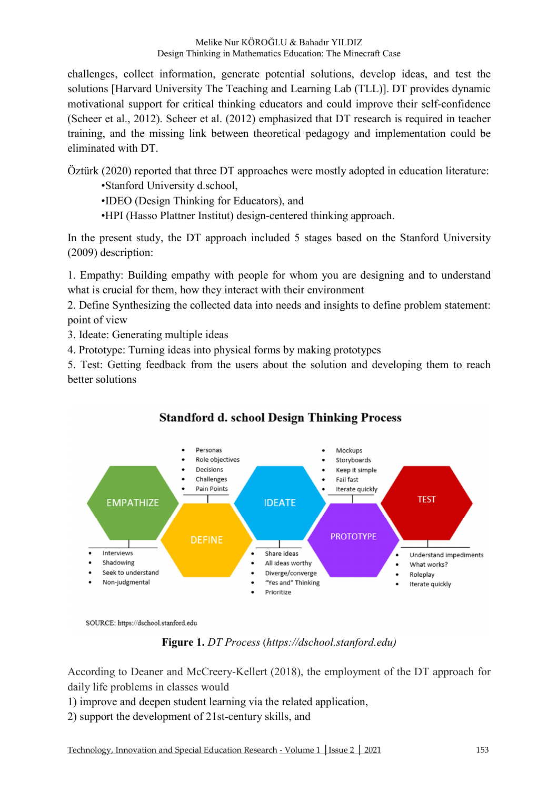challenges, collect information, generate potential solutions, develop ideas, and test the solutions [Harvard University The Teaching and Learning Lab (TLL)]. DT provides dynamic motivational support for critical thinking educators and could improve their self-confidence (Scheer et al., 2012). Scheer et al. (2012) emphasized that DT research is required in teacher training, and the missing link between theoretical pedagogy and implementation could be eliminated with DT.

Öztürk (2020) reported that three DT approaches were mostly adopted in education literature:

•Stanford University d.school,

•IDEO (Design Thinking for Educators), and

•HPI (Hasso Plattner Institut) design-centered thinking approach.

In the present study, the DT approach included 5 stages based on the Stanford University (2009) description:

1. Empathy: Building empathy with people for whom you are designing and to understand what is crucial for them, how they interact with their environment

2. Define Synthesizing the collected data into needs and insights to define problem statement: point of view

3. Ideate: Generating multiple ideas

4. Prototype: Turning ideas into physical forms by making prototypes

5. Test: Getting feedback from the users about the solution and developing them to reach better solutions



# **Standford d. school Design Thinking Process**

SOURCE: https://dschool.stanford.edu

**Figure 1.** *DT Process* (*https://dschool.stanford.edu)*

According to Deaner and McCreery-Kellert (2018), the employment of the DT approach for daily life problems in classes would

1) improve and deepen student learning via the related application,

2) support the development of 21st-century skills, and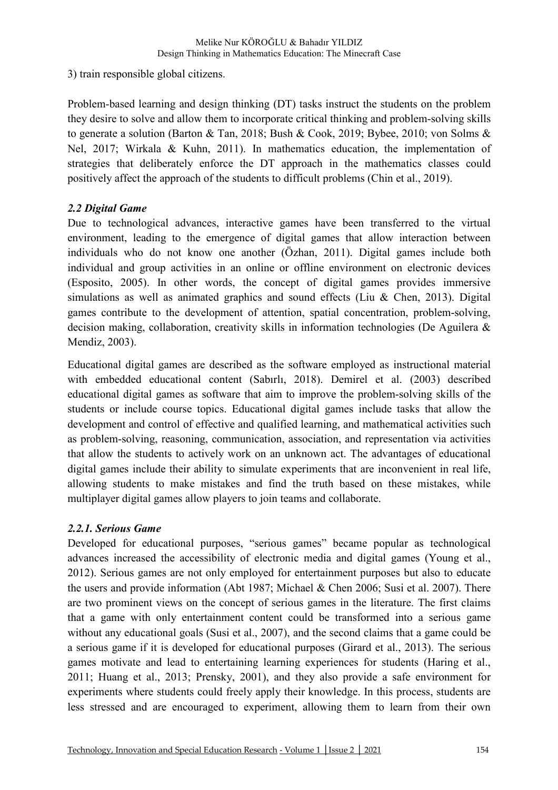3) train responsible global citizens.

Problem-based learning and design thinking (DT) tasks instruct the students on the problem they desire to solve and allow them to incorporate critical thinking and problem-solving skills to generate a solution (Barton & Tan, 2018; Bush & Cook, 2019; Bybee, 2010; von Solms & Nel, 2017; Wirkala & Kuhn, 2011). In mathematics education, the implementation of strategies that deliberately enforce the DT approach in the mathematics classes could positively affect the approach of the students to difficult problems (Chin et al., 2019).

### *2.2 Digital Game*

Due to technological advances, interactive games have been transferred to the virtual environment, leading to the emergence of digital games that allow interaction between individuals who do not know one another (Özhan, 2011). Digital games include both individual and group activities in an online or offline environment on electronic devices (Esposito, 2005). In other words, the concept of digital games provides immersive simulations as well as animated graphics and sound effects (Liu  $\&$  Chen, 2013). Digital games contribute to the development of attention, spatial concentration, problem-solving, decision making, collaboration, creativity skills in information technologies (De Aguilera & Mendiz, 2003).

Educational digital games are described as the software employed as instructional material with embedded educational content (Sabırlı, 2018). Demirel et al. (2003) described educational digital games as software that aim to improve the problem-solving skills of the students or include course topics. Educational digital games include tasks that allow the development and control of effective and qualified learning, and mathematical activities such as problem-solving, reasoning, communication, association, and representation via activities that allow the students to actively work on an unknown act. The advantages of educational digital games include their ability to simulate experiments that are inconvenient in real life, allowing students to make mistakes and find the truth based on these mistakes, while multiplayer digital games allow players to join teams and collaborate.

### *2.2.1. Serious Game*

Developed for educational purposes, "serious games" became popular as technological advances increased the accessibility of electronic media and digital games (Young et al., 2012). Serious games are not only employed for entertainment purposes but also to educate the users and provide information (Abt 1987; Michael & Chen 2006; Susi et al. 2007). There are two prominent views on the concept of serious games in the literature. The first claims that a game with only entertainment content could be transformed into a serious game without any educational goals (Susi et al., 2007), and the second claims that a game could be a serious game if it is developed for educational purposes (Girard et al., 2013). The serious games motivate and lead to entertaining learning experiences for students (Haring et al., 2011; Huang et al., 2013; Prensky, 2001), and they also provide a safe environment for experiments where students could freely apply their knowledge. In this process, students are less stressed and are encouraged to experiment, allowing them to learn from their own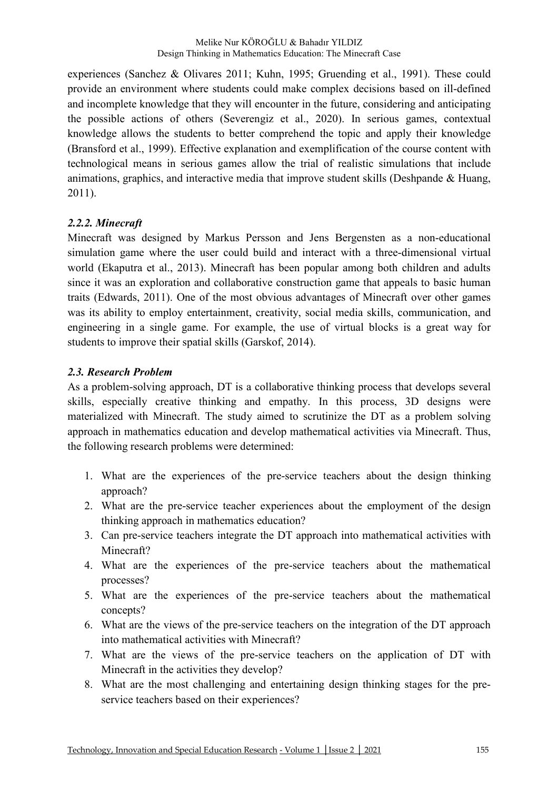experiences (Sanchez & Olivares 2011; Kuhn, 1995; Gruending et al., 1991). These could provide an environment where students could make complex decisions based on ill-defined and incomplete knowledge that they will encounter in the future, considering and anticipating the possible actions of others (Severengiz et al., 2020). In serious games, contextual knowledge allows the students to better comprehend the topic and apply their knowledge (Bransford et al., 1999). Effective explanation and exemplification of the course content with technological means in serious games allow the trial of realistic simulations that include animations, graphics, and interactive media that improve student skills (Deshpande & Huang, 2011).

### *2.2.2. Minecraft*

Minecraft was designed by Markus Persson and Jens Bergensten as a non-educational simulation game where the user could build and interact with a three-dimensional virtual world (Ekaputra et al., 2013). Minecraft has been popular among both children and adults since it was an exploration and collaborative construction game that appeals to basic human traits (Edwards, 2011). One of the most obvious advantages of Minecraft over other games was its ability to employ entertainment, creativity, social media skills, communication, and engineering in a single game. For example, the use of virtual blocks is a great way for students to improve their spatial skills (Garskof, 2014).

### *2.3. Research Problem*

As a problem-solving approach, DT is a collaborative thinking process that develops several skills, especially creative thinking and empathy. In this process, 3D designs were materialized with Minecraft. The study aimed to scrutinize the DT as a problem solving approach in mathematics education and develop mathematical activities via Minecraft. Thus, the following research problems were determined:

- 1. What are the experiences of the pre-service teachers about the design thinking approach?
- 2. What are the pre-service teacher experiences about the employment of the design thinking approach in mathematics education?
- 3. Can pre-service teachers integrate the DT approach into mathematical activities with Minecraft?
- 4. What are the experiences of the pre-service teachers about the mathematical processes?
- 5. What are the experiences of the pre-service teachers about the mathematical concepts?
- 6. What are the views of the pre-service teachers on the integration of the DT approach into mathematical activities with Minecraft?
- 7. What are the views of the pre-service teachers on the application of DT with Minecraft in the activities they develop?
- 8. What are the most challenging and entertaining design thinking stages for the preservice teachers based on their experiences?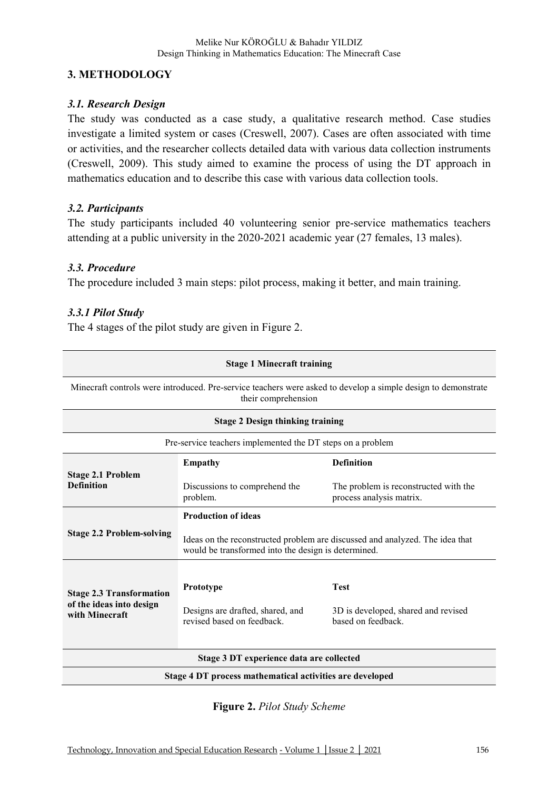### **3. METHODOLOGY**

#### *3.1. Research Design*

The study was conducted as a case study, a qualitative research method. Case studies investigate a limited system or cases (Creswell, 2007). Cases are often associated with time or activities, and the researcher collects detailed data with various data collection instruments (Creswell, 2009). This study aimed to examine the process of using the DT approach in mathematics education and to describe this case with various data collection tools.

### *3.2. Participants*

The study participants included 40 volunteering senior pre-service mathematics teachers attending at a public university in the 2020-2021 academic year (27 females, 13 males).

#### *3.3. Procedure*

The procedure included 3 main steps: pilot process, making it better, and main training.

### *3.3.1 Pilot Study*

The 4 stages of the pilot study are given in Figure 2.

| <b>Stage 1 Minecraft training</b>                                             |                                                                                                                                                                   |                                                                                                               |  |  |
|-------------------------------------------------------------------------------|-------------------------------------------------------------------------------------------------------------------------------------------------------------------|---------------------------------------------------------------------------------------------------------------|--|--|
|                                                                               | their comprehension                                                                                                                                               | Minecraft controls were introduced. Pre-service teachers were asked to develop a simple design to demonstrate |  |  |
|                                                                               | <b>Stage 2 Design thinking training</b>                                                                                                                           |                                                                                                               |  |  |
|                                                                               | Pre-service teachers implemented the DT steps on a problem                                                                                                        |                                                                                                               |  |  |
|                                                                               | <b>Definition</b><br><b>Empathy</b>                                                                                                                               |                                                                                                               |  |  |
| <b>Stage 2.1 Problem</b><br><b>Definition</b>                                 | Discussions to comprehend the<br>problem.                                                                                                                         | The problem is reconstructed with the<br>process analysis matrix.                                             |  |  |
| <b>Stage 2.2 Problem-solving</b>                                              | <b>Production of ideas</b><br>Ideas on the reconstructed problem are discussed and analyzed. The idea that<br>would be transformed into the design is determined. |                                                                                                               |  |  |
| <b>Stage 2.3 Transformation</b><br>of the ideas into design<br>with Minecraft | Prototype<br>Designs are drafted, shared, and<br>revised based on feedback                                                                                        | <b>Test</b><br>3D is developed, shared and revised<br>based on feedback                                       |  |  |
| Stage 3 DT experience data are collected                                      |                                                                                                                                                                   |                                                                                                               |  |  |
|                                                                               | Stage 4 DT process mathematical activities are developed                                                                                                          |                                                                                                               |  |  |

**Figure 2.** *Pilot Study Scheme*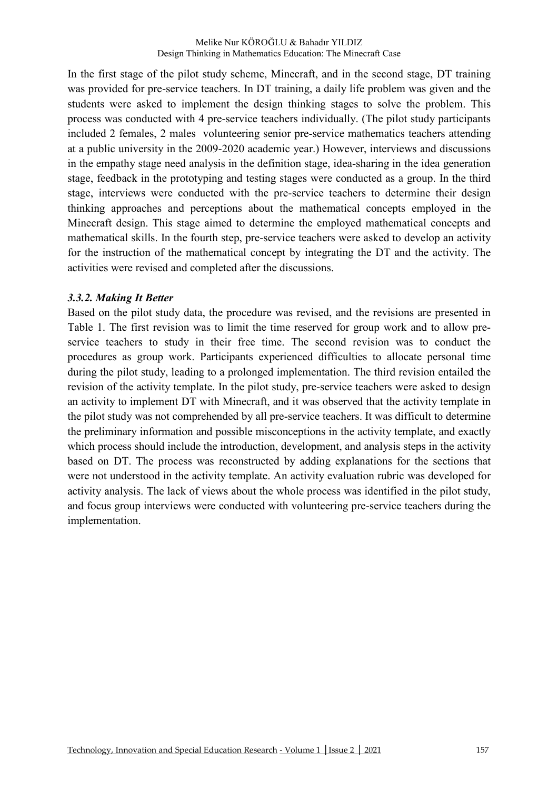In the first stage of the pilot study scheme, Minecraft, and in the second stage, DT training was provided for pre-service teachers. In DT training, a daily life problem was given and the students were asked to implement the design thinking stages to solve the problem. This process was conducted with 4 pre-service teachers individually. (The pilot study participants included 2 females, 2 males volunteering senior pre-service mathematics teachers attending at a public university in the 2009-2020 academic year.) However, interviews and discussions in the empathy stage need analysis in the definition stage, idea-sharing in the idea generation stage, feedback in the prototyping and testing stages were conducted as a group. In the third stage, interviews were conducted with the pre-service teachers to determine their design thinking approaches and perceptions about the mathematical concepts employed in the Minecraft design. This stage aimed to determine the employed mathematical concepts and mathematical skills. In the fourth step, pre-service teachers were asked to develop an activity for the instruction of the mathematical concept by integrating the DT and the activity. The activities were revised and completed after the discussions.

#### *3.3.2. Making It Better*

Based on the pilot study data, the procedure was revised, and the revisions are presented in Table 1. The first revision was to limit the time reserved for group work and to allow preservice teachers to study in their free time. The second revision was to conduct the procedures as group work. Participants experienced difficulties to allocate personal time during the pilot study, leading to a prolonged implementation. The third revision entailed the revision of the activity template. In the pilot study, pre-service teachers were asked to design an activity to implement DT with Minecraft, and it was observed that the activity template in the pilot study was not comprehended by all pre-service teachers. It was difficult to determine the preliminary information and possible misconceptions in the activity template, and exactly which process should include the introduction, development, and analysis steps in the activity based on DT. The process was reconstructed by adding explanations for the sections that were not understood in the activity template. An activity evaluation rubric was developed for activity analysis. The lack of views about the whole process was identified in the pilot study, and focus group interviews were conducted with volunteering pre-service teachers during the implementation.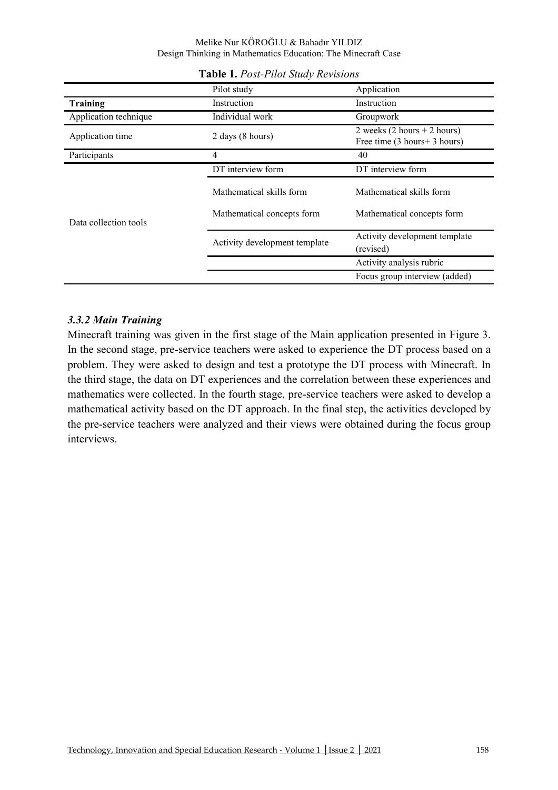|                       | Pilot study                   | Application                                                                    |
|-----------------------|-------------------------------|--------------------------------------------------------------------------------|
| Training              | Instruction                   | Instruction                                                                    |
| Application technique | Individual work               | Groupwork                                                                      |
| Application time      | 2 days (8 hours)              | 2 weeks $(2 \text{ hours} + 2 \text{ hours})$<br>Free time (3 hours + 3 hours) |
| Participants          | 4                             | 40                                                                             |
|                       | DT interview form             | DT interview form                                                              |
|                       | Mathematical skills form      | Mathematical skills form                                                       |
| Data collection tools | Mathematical concepts form    | Mathematical concepts form                                                     |
|                       | Activity development template | Activity development template<br>(revised)                                     |
|                       |                               | Activity analysis rubric                                                       |
|                       |                               | Focus group interview (added)                                                  |

#### **Table 1.** *Post-Pilot Study Revisions*

#### *3.3.2 Main Training*

Minecraft training was given in the first stage of the Main application presented in Figure 3. In the second stage, pre-service teachers were asked to experience the DT process based on a problem. They were asked to design and test a prototype the DT process with Minecraft. In the third stage, the data on DT experiences and the correlation between these experiences and mathematics were collected. In the fourth stage, pre-service teachers were asked to develop a mathematical activity based on the DT approach. In the final step, the activities developed by the pre-service teachers were analyzed and their views were obtained during the focus group interviews.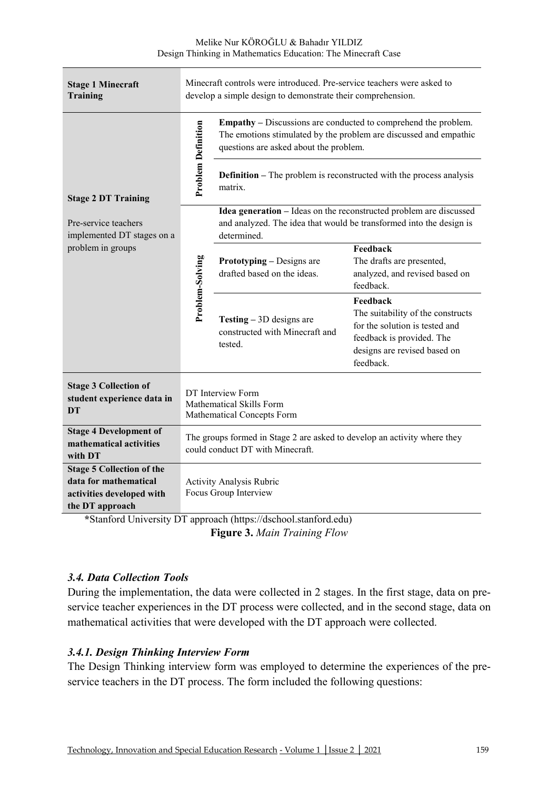| <b>Stage 1 Minecraft</b><br>Training                                                                      |                                                                                                              | Minecraft controls were introduced. Pre-service teachers were asked to<br>develop a simple design to demonstrate their comprehension.                                                |                                                                                                                                                           |  |  |  |
|-----------------------------------------------------------------------------------------------------------|--------------------------------------------------------------------------------------------------------------|--------------------------------------------------------------------------------------------------------------------------------------------------------------------------------------|-----------------------------------------------------------------------------------------------------------------------------------------------------------|--|--|--|
|                                                                                                           | <b>Problem Definition</b>                                                                                    | <b>Empathy</b> – Discussions are conducted to comprehend the problem.<br>The emotions stimulated by the problem are discussed and empathic<br>questions are asked about the problem. |                                                                                                                                                           |  |  |  |
| <b>Stage 2 DT Training</b>                                                                                |                                                                                                              | matrix.                                                                                                                                                                              | <b>Definition</b> – The problem is reconstructed with the process analysis                                                                                |  |  |  |
| Pre-service teachers<br>implemented DT stages on a                                                        |                                                                                                              | and analyzed. The idea that would be transformed into the design is<br>determined.                                                                                                   | Idea generation - Ideas on the reconstructed problem are discussed                                                                                        |  |  |  |
| problem in groups                                                                                         | Problem-Solving                                                                                              | <b>Prototyping – Designs are</b><br>drafted based on the ideas.                                                                                                                      | Feedback<br>The drafts are presented,<br>analyzed, and revised based on<br>feedback.                                                                      |  |  |  |
|                                                                                                           |                                                                                                              | <b>Testing</b> $-3D$ designs are<br>constructed with Minecraft and<br>tested.                                                                                                        | Feedback<br>The suitability of the constructs<br>for the solution is tested and<br>feedback is provided. The<br>designs are revised based on<br>feedback. |  |  |  |
| <b>Stage 3 Collection of</b><br>student experience data in<br><b>DT</b>                                   | DT Interview Form<br>Mathematical Skills Form<br>Mathematical Concepts Form                                  |                                                                                                                                                                                      |                                                                                                                                                           |  |  |  |
| <b>Stage 4 Development of</b><br>mathematical activities<br>with DT                                       | The groups formed in Stage 2 are asked to develop an activity where they<br>could conduct DT with Minecraft. |                                                                                                                                                                                      |                                                                                                                                                           |  |  |  |
| <b>Stage 5 Collection of the</b><br>data for mathematical<br>activities developed with<br>the DT approach |                                                                                                              | Activity Analysis Rubric<br>Focus Group Interview                                                                                                                                    |                                                                                                                                                           |  |  |  |
|                                                                                                           |                                                                                                              | *Stanford University DT approach (https://dschool.stanford.edu)                                                                                                                      |                                                                                                                                                           |  |  |  |

**Figure 3.** *Main Training Flow* 

### *3.4. Data Collection Tools*

During the implementation, the data were collected in 2 stages. In the first stage, data on preservice teacher experiences in the DT process were collected, and in the second stage, data on mathematical activities that were developed with the DT approach were collected.

#### *3.4.1. Design Thinking Interview Form*

The Design Thinking interview form was employed to determine the experiences of the preservice teachers in the DT process. The form included the following questions: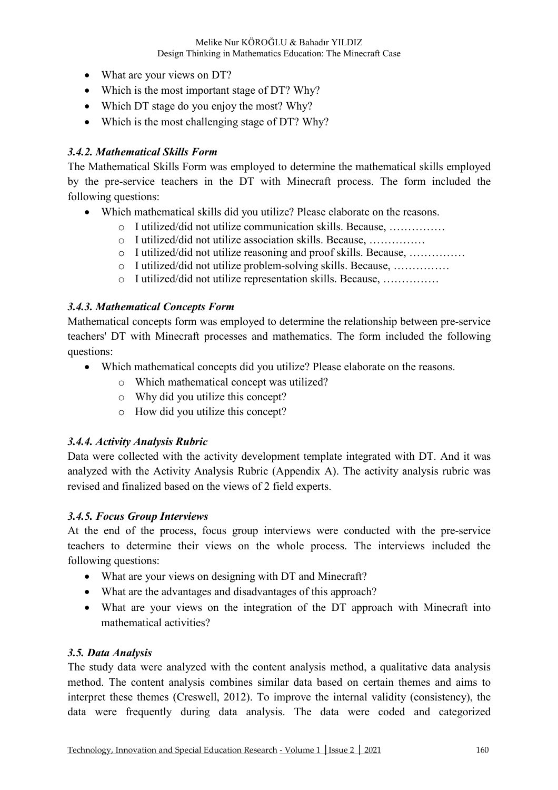- What are your views on DT?
- Which is the most important stage of DT? Why?
- Which DT stage do you enjoy the most? Why?
- Which is the most challenging stage of DT? Why?

#### *3.4.2. Mathematical Skills Form*

The Mathematical Skills Form was employed to determine the mathematical skills employed by the pre-service teachers in the DT with Minecraft process. The form included the following questions:

- Which mathematical skills did you utilize? Please elaborate on the reasons.
	- o I utilized/did not utilize communication skills. Because, ……………
	- o I utilized/did not utilize association skills. Because, ……………
	- o I utilized/did not utilize reasoning and proof skills. Because, ……………
	- o I utilized/did not utilize problem-solving skills. Because, ……………
	- o I utilized/did not utilize representation skills. Because, ……………

#### *3.4.3. Mathematical Concepts Form*

Mathematical concepts form was employed to determine the relationship between pre-service teachers' DT with Minecraft processes and mathematics. The form included the following questions:

- Which mathematical concepts did you utilize? Please elaborate on the reasons.
	- o Which mathematical concept was utilized?
	- o Why did you utilize this concept?
	- o How did you utilize this concept?

#### *3.4.4. Activity Analysis Rubric*

Data were collected with the activity development template integrated with DT. And it was analyzed with the Activity Analysis Rubric (Appendix A). The activity analysis rubric was revised and finalized based on the views of 2 field experts.

#### *3.4.5. Focus Group Interviews*

At the end of the process, focus group interviews were conducted with the pre-service teachers to determine their views on the whole process. The interviews included the following questions:

- What are your views on designing with DT and Minecraft?
- What are the advantages and disadvantages of this approach?
- What are your views on the integration of the DT approach with Minecraft into mathematical activities?

#### *3.5. Data Analysis*

The study data were analyzed with the content analysis method, a qualitative data analysis method. The content analysis combines similar data based on certain themes and aims to interpret these themes (Creswell, 2012). To improve the internal validity (consistency), the data were frequently during data analysis. The data were coded and categorized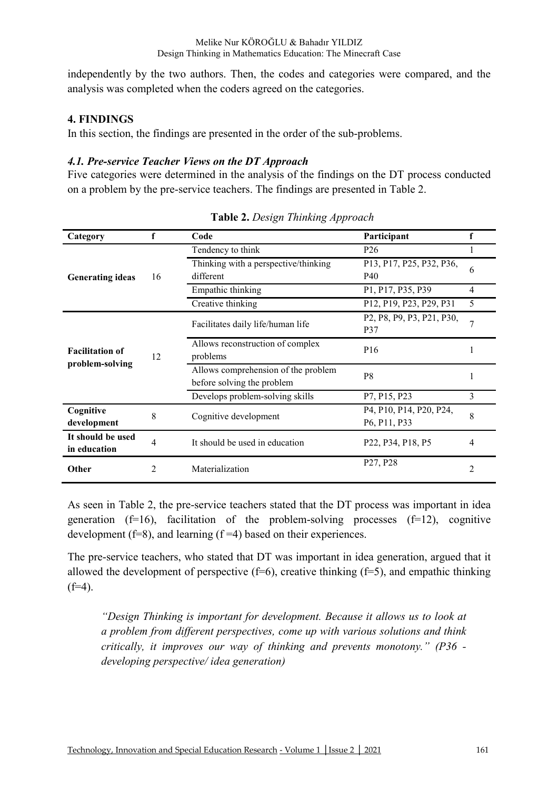independently by the two authors. Then, the codes and categories were compared, and the analysis was completed when the coders agreed on the categories.

#### **4. FINDINGS**

In this section, the findings are presented in the order of the sub-problems.

#### *4.1. Pre-service Teacher Views on the DT Approach*

Five categories were determined in the analysis of the findings on the DT process conducted on a problem by the pre-service teachers. The findings are presented in Table 2.

| Category                                  | f              | Code                                                              | Participant                                                                                                           | f              |
|-------------------------------------------|----------------|-------------------------------------------------------------------|-----------------------------------------------------------------------------------------------------------------------|----------------|
|                                           | 16             | Tendency to think                                                 | P <sub>26</sub>                                                                                                       | 1              |
| <b>Generating ideas</b>                   |                | Thinking with a perspective/thinking<br>different                 | P13, P17, P25, P32, P36,<br>P40                                                                                       | 6              |
|                                           |                | Empathic thinking                                                 | P1, P17, P35, P39                                                                                                     | 4              |
|                                           |                | Creative thinking                                                 | P12, P19, P23, P29, P31                                                                                               | 5              |
| <b>Facilitation of</b><br>problem-solving | 12             | Facilitates daily life/human life                                 | P <sub>2</sub> , P <sub>8</sub> , P <sub>9</sub> , P <sub>3</sub> , P <sub>21</sub> , P <sub>30</sub> ,<br><b>P37</b> | 7              |
|                                           |                | Allows reconstruction of complex<br>problems                      | P <sub>16</sub>                                                                                                       |                |
|                                           |                | Allows comprehension of the problem<br>before solving the problem | P <sub>8</sub>                                                                                                        |                |
|                                           |                | Develops problem-solving skills                                   | P7, P15, P23                                                                                                          | 3              |
| Cognitive<br>development                  | 8              | Cognitive development                                             | P4, P10, P14, P20, P24,<br>P6, P11, P33                                                                               | 8              |
| It should be used<br>in education         | 4              | It should be used in education                                    | P22, P34, P18, P5                                                                                                     | 4              |
| Other                                     | $\overline{2}$ | Materialization                                                   | P27, P28                                                                                                              | $\overline{2}$ |

**Table 2.** *Design Thinking Approach* 

As seen in Table 2, the pre-service teachers stated that the DT process was important in idea generation (f=16), facilitation of the problem-solving processes (f=12), cognitive development  $(f=8)$ , and learning  $(f=4)$  based on their experiences.

The pre-service teachers, who stated that DT was important in idea generation, argued that it allowed the development of perspective  $(f=6)$ , creative thinking  $(f=5)$ , and empathic thinking  $(f=4)$ .

*"Design Thinking is important for development. Because it allows us to look at a problem from different perspectives, come up with various solutions and think critically, it improves our way of thinking and prevents monotony." (P36 developing perspective/ idea generation)*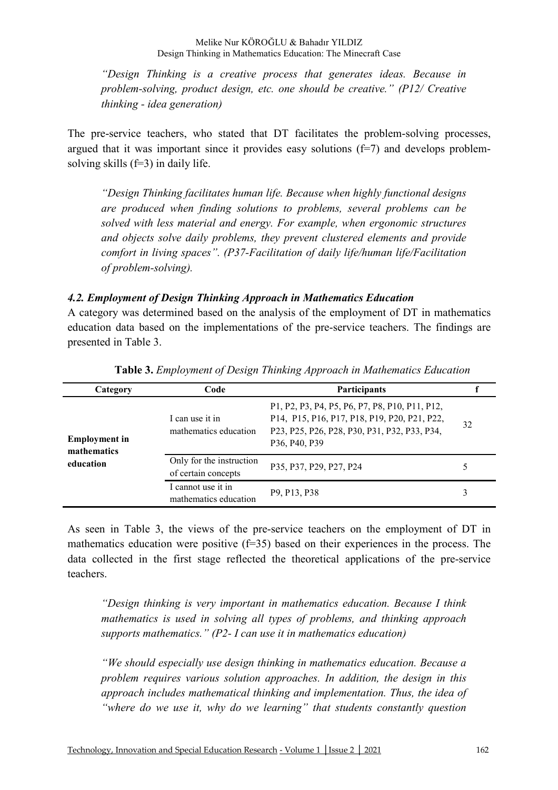Melike Nur KÖROĞLU & Bahadır YILDIZ Design Thinking in Mathematics Education: The Minecraft Case

*"Design Thinking is a creative process that generates ideas. Because in problem-solving, product design, etc. one should be creative." (P12/ Creative thinking - idea generation)* 

The pre-service teachers, who stated that DT facilitates the problem-solving processes, argued that it was important since it provides easy solutions (f=7) and develops problemsolving skills (f=3) in daily life.

*"Design Thinking facilitates human life. Because when highly functional designs are produced when finding solutions to problems, several problems can be solved with less material and energy. For example, when ergonomic structures and objects solve daily problems, they prevent clustered elements and provide comfort in living spaces". (P37-Facilitation of daily life/human life/Facilitation of problem-solving).* 

#### *4.2. Employment of Design Thinking Approach in Mathematics Education*

A category was determined based on the analysis of the employment of DT in mathematics education data based on the implementations of the pre-service teachers. The findings are presented in Table 3.

| Category                            | Code                                            | <b>Participants</b>                                                                                                                                             |    |
|-------------------------------------|-------------------------------------------------|-----------------------------------------------------------------------------------------------------------------------------------------------------------------|----|
| <b>Employment</b> in<br>mathematics | I can use it in<br>mathematics education        | P1, P2, P3, P4, P5, P6, P7, P8, P10, P11, P12,<br>P14, P15, P16, P17, P18, P19, P20, P21, P22,<br>P23, P25, P26, P28, P30, P31, P32, P33, P34,<br>P36, P40, P39 | 32 |
| education                           | Only for the instruction<br>of certain concepts | P35, P37, P29, P27, P24                                                                                                                                         | 5  |
|                                     | I cannot use it in<br>mathematics education     | P <sub>9</sub> , P <sub>13</sub> , P <sub>38</sub>                                                                                                              | 3  |

**Table 3.** *Employment of Design Thinking Approach in Mathematics Education* 

As seen in Table 3, the views of the pre-service teachers on the employment of DT in mathematics education were positive (f=35) based on their experiences in the process. The data collected in the first stage reflected the theoretical applications of the pre-service teachers.

*"Design thinking is very important in mathematics education. Because I think mathematics is used in solving all types of problems, and thinking approach supports mathematics." (P2- I can use it in mathematics education)* 

*"We should especially use design thinking in mathematics education. Because a problem requires various solution approaches. In addition, the design in this approach includes mathematical thinking and implementation. Thus, the idea of "where do we use it, why do we learning" that students constantly question*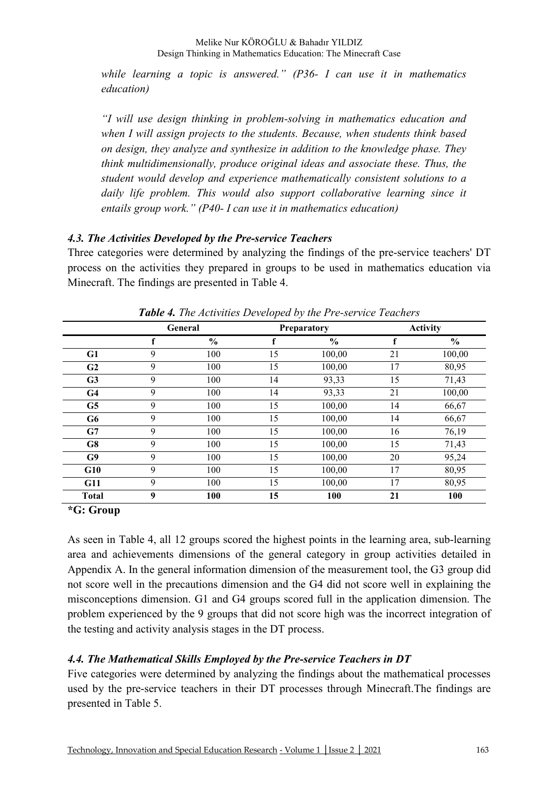*while learning a topic is answered." (P36- I can use it in mathematics education)* 

*"I will use design thinking in problem-solving in mathematics education and when I will assign projects to the students. Because, when students think based on design, they analyze and synthesize in addition to the knowledge phase. They think multidimensionally, produce original ideas and associate these. Thus, the student would develop and experience mathematically consistent solutions to a*  daily life problem. This would also support collaborative learning since it *entails group work." (P40- I can use it in mathematics education)* 

#### *4.3. The Activities Developed by the Pre-service Teachers*

Three categories were determined by analyzing the findings of the pre-service teachers' DT process on the activities they prepared in groups to be used in mathematics education via Minecraft. The findings are presented in Table 4.

|                |   | <b>General</b> |    | <b>Preparatory</b> |    | <b>Activity</b> |
|----------------|---|----------------|----|--------------------|----|-----------------|
|                |   | $\frac{0}{0}$  |    | $\frac{6}{9}$      | f  | $\frac{6}{6}$   |
| G1             | 9 | 100            | 15 | 100,00             | 21 | 100,00          |
| G <sub>2</sub> | 9 | 100            | 15 | 100,00             | 17 | 80,95           |
| G3             | 9 | 100            | 14 | 93,33              | 15 | 71,43           |
| G <sub>4</sub> | 9 | 100            | 14 | 93,33              | 21 | 100,00          |
| G5             | 9 | 100            | 15 | 100,00             | 14 | 66,67           |
| G <sub>6</sub> | 9 | 100            | 15 | 100,00             | 14 | 66,67           |
| G7             | 9 | 100            | 15 | 100,00             | 16 | 76,19           |
| G8             | 9 | 100            | 15 | 100,00             | 15 | 71,43           |
| G9             | 9 | 100            | 15 | 100,00             | 20 | 95,24           |
| G10            | 9 | 100            | 15 | 100,00             | 17 | 80,95           |
| G11            | 9 | 100            | 15 | 100,00             | 17 | 80,95           |
| <b>Total</b>   | 9 | 100            | 15 | 100                | 21 | 100             |

*Table 4. The Activities Developed by the Pre-service Teachers*

**\*G: Group** 

As seen in Table 4, all 12 groups scored the highest points in the learning area, sub-learning area and achievements dimensions of the general category in group activities detailed in Appendix A. In the general information dimension of the measurement tool, the G3 group did not score well in the precautions dimension and the G4 did not score well in explaining the misconceptions dimension. G1 and G4 groups scored full in the application dimension. The problem experienced by the 9 groups that did not score high was the incorrect integration of the testing and activity analysis stages in the DT process.

### *4.4. The Mathematical Skills Employed by the Pre-service Teachers in DT*

Five categories were determined by analyzing the findings about the mathematical processes used by the pre-service teachers in their DT processes through Minecraft.The findings are presented in Table 5.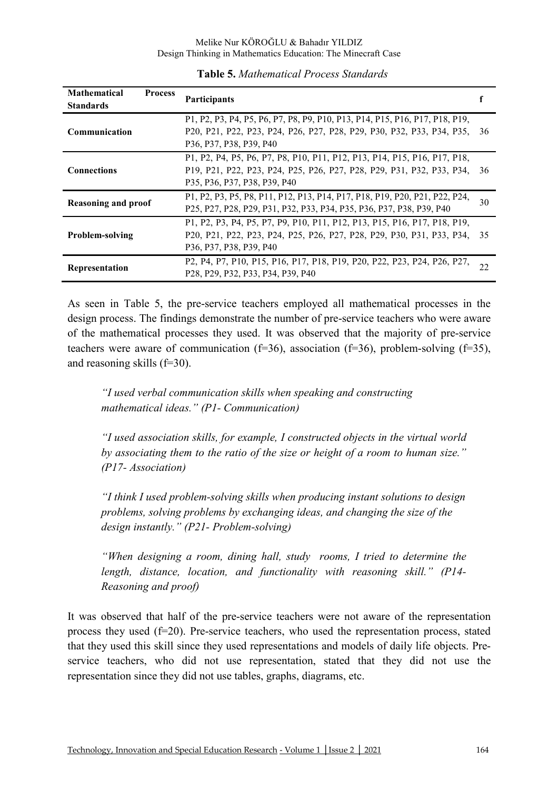| <b>Mathematical</b><br><b>Process</b><br><b>Standards</b> | <b>Participants</b>                                                                                                                                     |    |
|-----------------------------------------------------------|---------------------------------------------------------------------------------------------------------------------------------------------------------|----|
| Communication                                             | P1, P2, P3, P4, P5, P6, P7, P8, P9, P10, P13, P14, P15, P16, P17, P18, P19,<br>P20, P21, P22, P23, P24, P26, P27, P28, P29, P30, P32, P33, P34, P35, 36 |    |
|                                                           | P36, P37, P38, P39, P40                                                                                                                                 |    |
|                                                           | P1, P2, P4, P5, P6, P7, P8, P10, P11, P12, P13, P14, P15, P16, P17, P18,                                                                                |    |
| <b>Connections</b>                                        | P19, P21, P22, P23, P24, P25, P26, P27, P28, P29, P31, P32, P33, P34, 36                                                                                |    |
|                                                           | P35, P36, P37, P38, P39, P40                                                                                                                            |    |
| <b>Reasoning and proof</b>                                | P1, P2, P3, P5, P8, P11, P12, P13, P14, P17, P18, P19, P20, P21, P22, P24,                                                                              |    |
|                                                           | P25, P27, P28, P29, P31, P32, P33, P34, P35, P36, P37, P38, P39, P40                                                                                    |    |
|                                                           | P1, P2, P3, P4, P5, P7, P9, P10, P11, P12, P13, P15, P16, P17, P18, P19,                                                                                |    |
| Problem-solving                                           | P20, P21, P22, P23, P24, P25, P26, P27, P28, P29, P30, P31, P33, P34, 35                                                                                |    |
|                                                           | P36, P37, P38, P39, P40                                                                                                                                 |    |
|                                                           | P2, P4, P7, P10, P15, P16, P17, P18, P19, P20, P22, P23, P24, P26, P27,                                                                                 |    |
| Representation                                            | P <sub>28</sub> , P <sub>29</sub> , P <sub>32</sub> , P <sub>33</sub> , P <sub>34</sub> , P <sub>39</sub> , P <sub>40</sub>                             | 22 |

#### **Table 5.** *Mathematical Process Standards*

As seen in Table 5, the pre-service teachers employed all mathematical processes in the design process. The findings demonstrate the number of pre-service teachers who were aware of the mathematical processes they used. It was observed that the majority of pre-service teachers were aware of communication (f=36), association (f=36), problem-solving (f=35), and reasoning skills (f=30).

*"I used verbal communication skills when speaking and constructing mathematical ideas." (P1- Communication)* 

*"I used association skills, for example, I constructed objects in the virtual world by associating them to the ratio of the size or height of a room to human size." (P17- Association)* 

*"I think I used problem-solving skills when producing instant solutions to design problems, solving problems by exchanging ideas, and changing the size of the design instantly." (P21- Problem-solving)* 

*"When designing a room, dining hall, study rooms, I tried to determine the length, distance, location, and functionality with reasoning skill." (P14- Reasoning and proof)* 

It was observed that half of the pre-service teachers were not aware of the representation process they used (f=20). Pre-service teachers, who used the representation process, stated that they used this skill since they used representations and models of daily life objects. Preservice teachers, who did not use representation, stated that they did not use the representation since they did not use tables, graphs, diagrams, etc.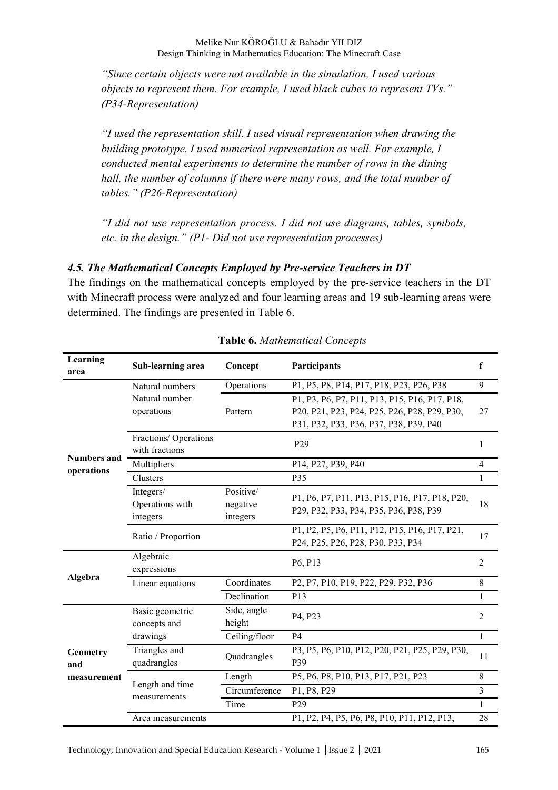*"Since certain objects were not available in the simulation, I used various objects to represent them. For example, I used black cubes to represent TVs." (P34-Representation)* 

*"I used the representation skill. I used visual representation when drawing the building prototype. I used numerical representation as well. For example, I conducted mental experiments to determine the number of rows in the dining hall, the number of columns if there were many rows, and the total number of tables." (P26-Representation)* 

*"I did not use representation process. I did not use diagrams, tables, symbols, etc. in the design." (P1- Did not use representation processes)* 

#### *4.5. The Mathematical Concepts Employed by Pre-service Teachers in DT*

The findings on the mathematical concepts employed by the pre-service teachers in the DT with Minecraft process were analyzed and four learning areas and 19 sub-learning areas were determined. The findings are presented in Table 6.

| Learning<br>area                 | Sub-learning area                                                             | Concept               | Participants                                                                                                                            | $\mathbf f$    |
|----------------------------------|-------------------------------------------------------------------------------|-----------------------|-----------------------------------------------------------------------------------------------------------------------------------------|----------------|
|                                  | Natural numbers                                                               | Operations            | P1, P5, P8, P14, P17, P18, P23, P26, P38                                                                                                | 9              |
|                                  | Natural number<br>operations                                                  | Pattern               | P1, P3, P6, P7, P11, P13, P15, P16, P17, P18,<br>P20, P21, P23, P24, P25, P26, P28, P29, P30,<br>P31, P32, P33, P36, P37, P38, P39, P40 | 27             |
|                                  | Fractions/ Operations<br>with fractions                                       |                       | P <sub>29</sub>                                                                                                                         | 1              |
| <b>Numbers and</b><br>operations | Multipliers                                                                   |                       | P14, P27, P39, P40                                                                                                                      | $\overline{4}$ |
|                                  | Clusters                                                                      |                       | P35                                                                                                                                     | $\mathbf{1}$   |
|                                  | Positive/<br>Integers/<br>Operations with<br>negative<br>integers<br>integers |                       | P1, P6, P7, P11, P13, P15, P16, P17, P18, P20,<br>P29, P32, P33, P34, P35, P36, P38, P39                                                |                |
|                                  | Ratio / Proportion                                                            |                       | P1, P2, P5, P6, P11, P12, P15, P16, P17, P21,<br>P24, P25, P26, P28, P30, P33, P34                                                      | 17             |
|                                  | Algebraic<br>expressions                                                      |                       | P6, P13                                                                                                                                 | $\overline{2}$ |
| Algebra                          | Coordinates<br>Linear equations                                               |                       | P2, P7, P10, P19, P22, P29, P32, P36                                                                                                    | 8              |
|                                  |                                                                               | Declination           | P13                                                                                                                                     | $\mathbf{1}$   |
|                                  | Basic geometric<br>concepts and                                               | Side, angle<br>height | P4, P23                                                                                                                                 | $\overline{2}$ |
|                                  | drawings                                                                      | Ceiling/floor         | <b>P4</b>                                                                                                                               | $\mathbf{1}$   |
| Geometry<br>and                  | Triangles and<br>Quadrangles<br>quadrangles                                   |                       | P3, P5, P6, P10, P12, P20, P21, P25, P29, P30,<br>P39                                                                                   |                |
| measurement                      |                                                                               | Length                | P5, P6, P8, P10, P13, P17, P21, P23                                                                                                     | $\,8\,$        |
|                                  | Length and time<br>measurements                                               | Circumference         | P1, P8, P29                                                                                                                             | $\overline{3}$ |
|                                  |                                                                               | Time                  | P <sub>29</sub>                                                                                                                         | $\mathbf{1}$   |
|                                  | Area measurements                                                             |                       | P1, P2, P4, P5, P6, P8, P10, P11, P12, P13,                                                                                             | 28             |
|                                  |                                                                               |                       |                                                                                                                                         |                |

**Table 6.** *Mathematical Concepts*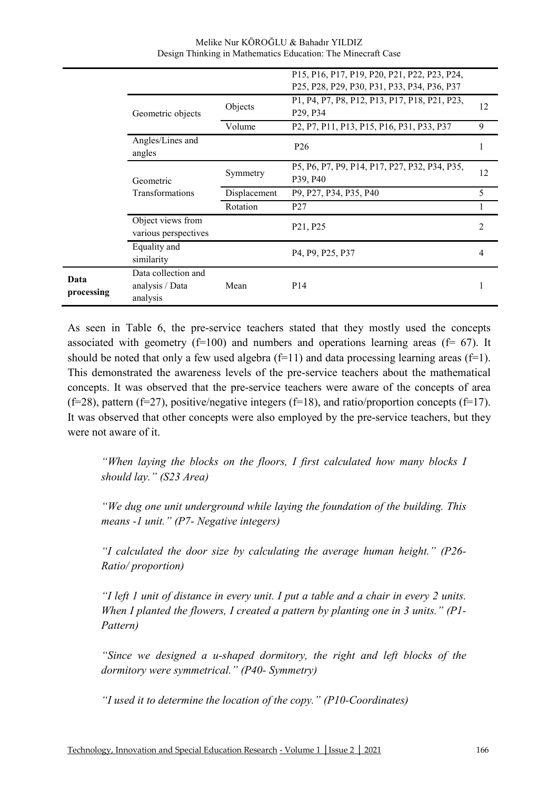|                    |                                                    |              | P15, P16, P17, P19, P20, P21, P22, P23, P24,<br>P25, P28, P29, P30, P31, P33, P34, P36, P37                                                                   |                |
|--------------------|----------------------------------------------------|--------------|---------------------------------------------------------------------------------------------------------------------------------------------------------------|----------------|
|                    | Geometric objects                                  | Objects      | P1, P4, P7, P8, P12, P13, P17, P18, P21, P23,<br>P <sub>29</sub> , P <sub>34</sub>                                                                            | 12             |
|                    |                                                    | Volume       | P <sub>2</sub> , P <sub>7</sub> , P <sub>11</sub> , P <sub>13</sub> , P <sub>15</sub> , P <sub>16</sub> , P <sub>31</sub> , P <sub>33</sub> , P <sub>37</sub> | 9              |
|                    | Angles/Lines and<br>angles                         |              | P <sub>26</sub>                                                                                                                                               |                |
|                    | Geometric                                          | Symmetry     | P5, P6, P7, P9, P14, P17, P27, P32, P34, P35,<br>P39, P40                                                                                                     | 12             |
|                    | Transformations                                    | Displacement | P9, P27, P34, P35, P40                                                                                                                                        | 5              |
|                    |                                                    | Rotation     | P <sub>27</sub>                                                                                                                                               |                |
|                    | Object views from<br>various perspectives          |              | P21, P25                                                                                                                                                      | $\overline{2}$ |
|                    | Equality and<br>similarity                         |              | P4, P9, P25, P37                                                                                                                                              | 4              |
| Data<br>processing | Data collection and<br>analysis / Data<br>analysis | Mean         | P <sub>14</sub>                                                                                                                                               |                |

Melike Nur KÖROĞLU & Bahadır YILDIZ Design Thinking in Mathematics Education: The Minecraft Case

As seen in Table 6, the pre-service teachers stated that they mostly used the concepts associated with geometry  $(f=100)$  and numbers and operations learning areas  $(f= 67)$ . It should be noted that only a few used algebra  $(f=11)$  and data processing learning areas  $(f=1)$ . This demonstrated the awareness levels of the pre-service teachers about the mathematical concepts. It was observed that the pre-service teachers were aware of the concepts of area (f=28), pattern (f=27), positive/negative integers (f=18), and ratio/proportion concepts (f=17). It was observed that other concepts were also employed by the pre-service teachers, but they were not aware of it.

*"When laying the blocks on the floors, I first calculated how many blocks I should lay." (S23 Area)* 

*"We dug one unit underground while laying the foundation of the building. This means -1 unit." (P7- Negative integers)* 

*"I calculated the door size by calculating the average human height." (P26- Ratio/ proportion)* 

*"I left 1 unit of distance in every unit. I put a table and a chair in every 2 units. When I planted the flowers, I created a pattern by planting one in 3 units." (P1- Pattern)* 

*"Since we designed a u-shaped dormitory, the right and left blocks of the dormitory were symmetrical." (P40- Symmetry)* 

*"I used it to determine the location of the copy." (P10-Coordinates)*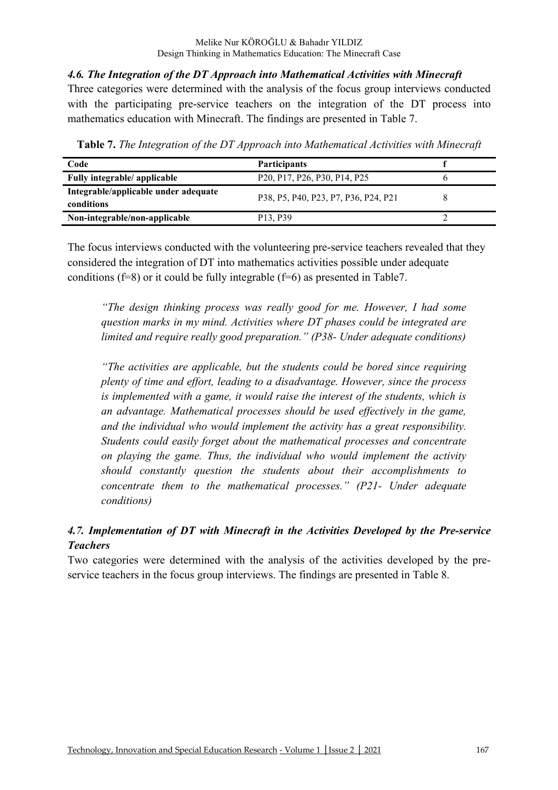*4.6. The Integration of the DT Approach into Mathematical Activities with Minecraft* 

Three categories were determined with the analysis of the focus group interviews conducted with the participating pre-service teachers on the integration of the DT process into mathematics education with Minecraft. The findings are presented in Table 7.

| Code                                               | <b>Participants</b>                                                                                       |  |
|----------------------------------------------------|-----------------------------------------------------------------------------------------------------------|--|
| Fully integrable/ applicable                       | P <sub>20</sub> , P <sub>17</sub> , P <sub>26</sub> , P <sub>30</sub> , P <sub>14</sub> , P <sub>25</sub> |  |
| Integrable/applicable under adequate<br>conditions | P38, P5, P40, P23, P7, P36, P24, P21                                                                      |  |
| Non-integrable/non-applicable                      | P <sub>13</sub> , P <sub>39</sub>                                                                         |  |

**Table 7.** *The Integration of the DT Approach into Mathematical Activities with Minecraft*

The focus interviews conducted with the volunteering pre-service teachers revealed that they considered the integration of DT into mathematics activities possible under adequate conditions (f=8) or it could be fully integrable (f=6) as presented in Table7.

*"The design thinking process was really good for me. However, I had some question marks in my mind. Activities where DT phases could be integrated are limited and require really good preparation." (P38- Under adequate conditions)* 

*"The activities are applicable, but the students could be bored since requiring plenty of time and effort, leading to a disadvantage. However, since the process is implemented with a game, it would raise the interest of the students, which is an advantage. Mathematical processes should be used effectively in the game, and the individual who would implement the activity has a great responsibility. Students could easily forget about the mathematical processes and concentrate on playing the game. Thus, the individual who would implement the activity should constantly question the students about their accomplishments to concentrate them to the mathematical processes." (P21- Under adequate conditions)* 

### *4.7. Implementation of DT with Minecraft in the Activities Developed by the Pre-service Teachers*

Two categories were determined with the analysis of the activities developed by the preservice teachers in the focus group interviews. The findings are presented in Table 8.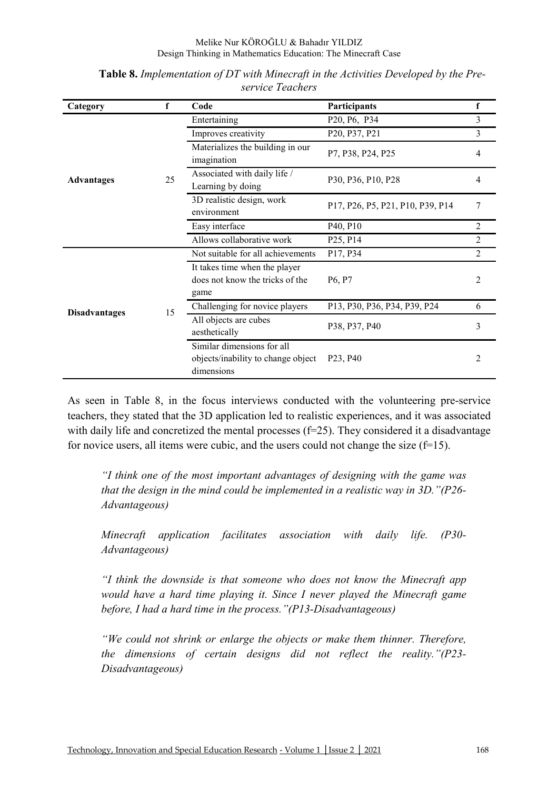| Category             | f  | Code                                                                           | Participants                      | f              |
|----------------------|----|--------------------------------------------------------------------------------|-----------------------------------|----------------|
|                      |    | Entertaining                                                                   | P20, P6, P34                      | $\overline{3}$ |
|                      | 25 | Improves creativity                                                            | P20, P37, P21                     | $\overline{3}$ |
| <b>Advantages</b>    |    | Materializes the building in our<br>imagination                                | P7, P38, P24, P25                 | 4              |
|                      |    | Associated with daily life /<br>Learning by doing                              | P30, P36, P10, P28                | 4              |
|                      |    | 3D realistic design, work<br>environment                                       | P17, P26, P5, P21, P10, P39, P14  | 7              |
|                      |    | Easy interface                                                                 | P40, P10                          | $\overline{2}$ |
|                      |    | Allows collaborative work                                                      | P <sub>25</sub> , P <sub>14</sub> | $\overline{2}$ |
|                      |    | Not suitable for all achievements                                              | P17, P34                          | $\overline{2}$ |
|                      |    | It takes time when the player<br>does not know the tricks of the<br>game       | P <sub>6</sub> , P <sub>7</sub>   | 2              |
|                      | 15 | Challenging for novice players                                                 | P13, P30, P36, P34, P39, P24      | 6              |
| <b>Disadvantages</b> |    | All objects are cubes<br>aesthetically                                         | P38, P37, P40                     | 3              |
|                      |    | Similar dimensions for all<br>objects/inability to change object<br>dimensions | P <sub>23</sub> , P <sub>40</sub> |                |

**Table 8.** *Implementation of DT with Minecraft in the Activities Developed by the Preservice Teachers* 

As seen in Table 8, in the focus interviews conducted with the volunteering pre-service teachers, they stated that the 3D application led to realistic experiences, and it was associated with daily life and concretized the mental processes (f=25). They considered it a disadvantage for novice users, all items were cubic, and the users could not change the size  $(f=15)$ .

*"I think one of the most important advantages of designing with the game was that the design in the mind could be implemented in a realistic way in 3D."(P26- Advantageous)* 

*Minecraft application facilitates association with daily life. (P30- Advantageous)* 

*"I think the downside is that someone who does not know the Minecraft app would have a hard time playing it. Since I never played the Minecraft game before, I had a hard time in the process."(P13-Disadvantageous)* 

*"We could not shrink or enlarge the objects or make them thinner. Therefore, the dimensions of certain designs did not reflect the reality."(P23- Disadvantageous)*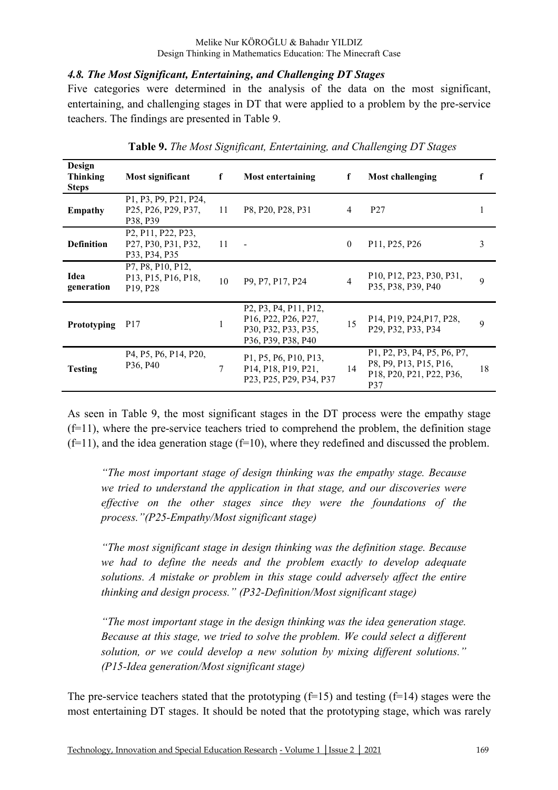#### *4.8. The Most Significant, Entertaining, and Challenging DT Stages*

Five categories were determined in the analysis of the data on the most significant, entertaining, and challenging stages in DT that were applied to a problem by the pre-service teachers. The findings are presented in Table 9.

| Design<br><b>Thinking</b><br><b>Steps</b> | Most significant                                                                                                                                                   | f  | Most entertaining                                                                                                                                                                                             | f              | Most challenging                                                                                  |    |
|-------------------------------------------|--------------------------------------------------------------------------------------------------------------------------------------------------------------------|----|---------------------------------------------------------------------------------------------------------------------------------------------------------------------------------------------------------------|----------------|---------------------------------------------------------------------------------------------------|----|
| <b>Empathy</b>                            | P1, P3, P9, P21, P24,<br>P <sub>25</sub> , P <sub>26</sub> , P <sub>29</sub> , P <sub>37</sub> , 11<br>P38, P39                                                    |    | P8, P20, P28, P31                                                                                                                                                                                             | 4              | P <sub>27</sub>                                                                                   |    |
| <b>Definition</b>                         | P <sub>2</sub> , P <sub>11</sub> , P <sub>22</sub> , P <sub>23</sub> ,<br>P <sub>27</sub> , P <sub>30</sub> , P <sub>31</sub> , P <sub>32</sub> ,<br>P33, P34, P35 | 11 | $\blacksquare$                                                                                                                                                                                                | $\theta$       | P <sub>11</sub> , P <sub>25</sub> , P <sub>26</sub>                                               | 3  |
| Idea<br>generation                        | P7, P8, P10, P12,<br>P13, P15, P16, P18,<br>P <sub>19</sub> , P <sub>28</sub>                                                                                      | 10 | P <sub>9</sub> , P <sub>7</sub> , P <sub>17</sub> , P <sub>24</sub>                                                                                                                                           | $\overline{4}$ | P10, P12, P23, P30, P31,<br>P35, P38, P39, P40                                                    | 9  |
| Prototyping                               | P <sub>17</sub>                                                                                                                                                    |    | P <sub>2</sub> , P <sub>3</sub> , P <sub>4</sub> , P <sub>11</sub> , P <sub>12</sub> ,<br>P16, P22, P26, P27,<br>P30, P32, P33, P35,<br>P <sub>36</sub> , P <sub>39</sub> , P <sub>38</sub> , P <sub>40</sub> | 15             | P14, P19, P24, P17, P28,<br>P <sub>29</sub> , P <sub>32</sub> , P <sub>33</sub> , P <sub>34</sub> | 9  |
| <b>Testing</b>                            | P4, P5, P6, P14, P20,<br>P36, P40                                                                                                                                  | 7  | P1, P5, P6, P10, P13,<br>P14, P18, P19, P21,<br>P23, P25, P29, P34, P37                                                                                                                                       | 14             | P1, P2, P3, P4, P5, P6, P7,<br>P8, P9, P13, P15, P16,<br>P18, P20, P21, P22, P36,<br><b>P37</b>   | 18 |

**Table 9.** *The Most Significant, Entertaining, and Challenging DT Stages* 

As seen in Table 9, the most significant stages in the DT process were the empathy stage  $(f=11)$ , where the pre-service teachers tried to comprehend the problem, the definition stage  $(f=11)$ , and the idea generation stage  $(f=10)$ , where they redefined and discussed the problem.

*"The most important stage of design thinking was the empathy stage. Because we tried to understand the application in that stage, and our discoveries were effective on the other stages since they were the foundations of the process."(P25-Empathy/Most significant stage)* 

*"The most significant stage in design thinking was the definition stage. Because we had to define the needs and the problem exactly to develop adequate solutions. A mistake or problem in this stage could adversely affect the entire thinking and design process." (P32-Definition/Most significant stage)* 

*"The most important stage in the design thinking was the idea generation stage. Because at this stage, we tried to solve the problem. We could select a different solution, or we could develop a new solution by mixing different solutions." (P15-Idea generation/Most significant stage)* 

The pre-service teachers stated that the prototyping  $(f=15)$  and testing  $(f=14)$  stages were the most entertaining DT stages. It should be noted that the prototyping stage, which was rarely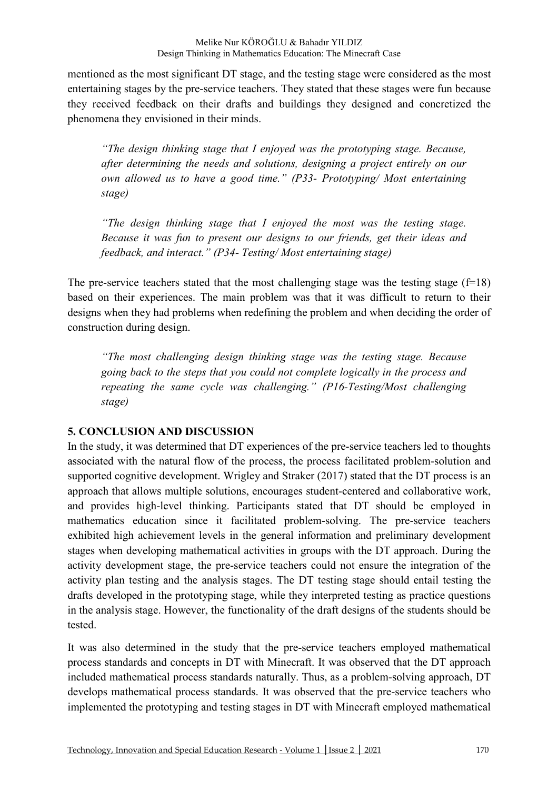mentioned as the most significant DT stage, and the testing stage were considered as the most entertaining stages by the pre-service teachers. They stated that these stages were fun because they received feedback on their drafts and buildings they designed and concretized the phenomena they envisioned in their minds.

*"The design thinking stage that I enjoyed was the prototyping stage. Because, after determining the needs and solutions, designing a project entirely on our own allowed us to have a good time." (P33- Prototyping/ Most entertaining stage)* 

*"The design thinking stage that I enjoyed the most was the testing stage. Because it was fun to present our designs to our friends, get their ideas and feedback, and interact." (P34- Testing/ Most entertaining stage)* 

The pre-service teachers stated that the most challenging stage was the testing stage  $(f=18)$ based on their experiences. The main problem was that it was difficult to return to their designs when they had problems when redefining the problem and when deciding the order of construction during design.

*"The most challenging design thinking stage was the testing stage. Because going back to the steps that you could not complete logically in the process and repeating the same cycle was challenging." (P16-Testing/Most challenging stage)* 

### **5. CONCLUSION AND DISCUSSION**

In the study, it was determined that DT experiences of the pre-service teachers led to thoughts associated with the natural flow of the process, the process facilitated problem-solution and supported cognitive development. Wrigley and Straker (2017) stated that the DT process is an approach that allows multiple solutions, encourages student-centered and collaborative work, and provides high-level thinking. Participants stated that DT should be employed in mathematics education since it facilitated problem-solving. The pre-service teachers exhibited high achievement levels in the general information and preliminary development stages when developing mathematical activities in groups with the DT approach. During the activity development stage, the pre-service teachers could not ensure the integration of the activity plan testing and the analysis stages. The DT testing stage should entail testing the drafts developed in the prototyping stage, while they interpreted testing as practice questions in the analysis stage. However, the functionality of the draft designs of the students should be tested.

It was also determined in the study that the pre-service teachers employed mathematical process standards and concepts in DT with Minecraft. It was observed that the DT approach included mathematical process standards naturally. Thus, as a problem-solving approach, DT develops mathematical process standards. It was observed that the pre-service teachers who implemented the prototyping and testing stages in DT with Minecraft employed mathematical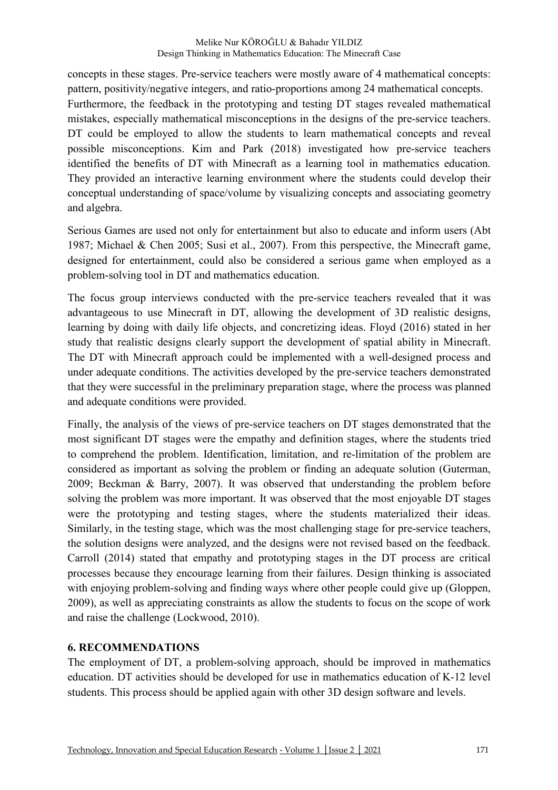concepts in these stages. Pre-service teachers were mostly aware of 4 mathematical concepts: pattern, positivity/negative integers, and ratio-proportions among 24 mathematical concepts. Furthermore, the feedback in the prototyping and testing DT stages revealed mathematical mistakes, especially mathematical misconceptions in the designs of the pre-service teachers. DT could be employed to allow the students to learn mathematical concepts and reveal possible misconceptions. Kim and Park (2018) investigated how pre-service teachers identified the benefits of DT with Minecraft as a learning tool in mathematics education. They provided an interactive learning environment where the students could develop their conceptual understanding of space/volume by visualizing concepts and associating geometry and algebra.

Serious Games are used not only for entertainment but also to educate and inform users (Abt 1987; Michael & Chen 2005; Susi et al., 2007). From this perspective, the Minecraft game, designed for entertainment, could also be considered a serious game when employed as a problem-solving tool in DT and mathematics education.

The focus group interviews conducted with the pre-service teachers revealed that it was advantageous to use Minecraft in DT, allowing the development of 3D realistic designs, learning by doing with daily life objects, and concretizing ideas. Floyd (2016) stated in her study that realistic designs clearly support the development of spatial ability in Minecraft. The DT with Minecraft approach could be implemented with a well-designed process and under adequate conditions. The activities developed by the pre-service teachers demonstrated that they were successful in the preliminary preparation stage, where the process was planned and adequate conditions were provided.

Finally, the analysis of the views of pre-service teachers on DT stages demonstrated that the most significant DT stages were the empathy and definition stages, where the students tried to comprehend the problem. Identification, limitation, and re-limitation of the problem are considered as important as solving the problem or finding an adequate solution (Guterman, 2009; Beckman & Barry, 2007). It was observed that understanding the problem before solving the problem was more important. It was observed that the most enjoyable DT stages were the prototyping and testing stages, where the students materialized their ideas. Similarly, in the testing stage, which was the most challenging stage for pre-service teachers, the solution designs were analyzed, and the designs were not revised based on the feedback. Carroll (2014) stated that empathy and prototyping stages in the DT process are critical processes because they encourage learning from their failures. Design thinking is associated with enjoying problem-solving and finding ways where other people could give up (Gloppen, 2009), as well as appreciating constraints as allow the students to focus on the scope of work and raise the challenge (Lockwood, 2010).

### **6. RECOMMENDATIONS**

The employment of DT, a problem-solving approach, should be improved in mathematics education. DT activities should be developed for use in mathematics education of K-12 level students. This process should be applied again with other 3D design software and levels.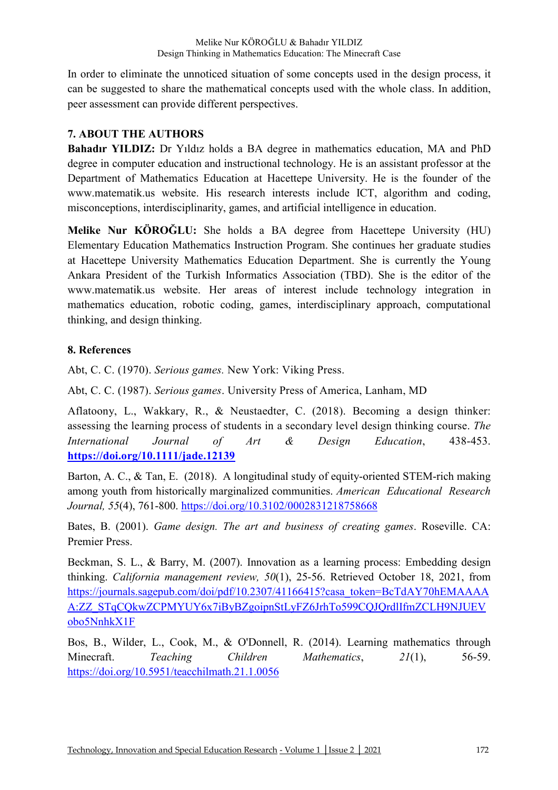In order to eliminate the unnoticed situation of some concepts used in the design process, it can be suggested to share the mathematical concepts used with the whole class. In addition, peer assessment can provide different perspectives.

## **7. ABOUT THE AUTHORS**

**Bahadır YILDIZ:** Dr Yıldız holds a BA degree in mathematics education, MA and PhD degree in computer education and instructional technology. He is an assistant professor at the Department of Mathematics Education at Hacettepe University. He is the founder of the www.matematik.us website. His research interests include ICT, algorithm and coding, misconceptions, interdisciplinarity, games, and artificial intelligence in education.

**Melike Nur KÖROĞLU:** She holds a BA degree from Hacettepe University (HU) Elementary Education Mathematics Instruction Program. She continues her graduate studies at Hacettepe University Mathematics Education Department. She is currently the Young Ankara President of the Turkish Informatics Association (TBD). She is the editor of the www.matematik.us website. Her areas of interest include technology integration in mathematics education, robotic coding, games, interdisciplinary approach, computational thinking, and design thinking.

### **8. References**

Abt, C. C. (1970). *Serious games.* New York: Viking Press.

Abt, C. C. (1987). *Serious games*. University Press of America, Lanham, MD

Aflatoony, L., Wakkary, R., & Neustaedter, C. (2018). Becoming a design thinker: assessing the learning process of students in a secondary level design thinking course. *The International Journal of Art & Design Education*, 438-453. **https://doi.org/10.1111/jade.12139**

Barton, A. C., & Tan, E. (2018). A longitudinal study of equity-oriented STEM-rich making among youth from historically marginalized communities. *American Educational Research Journal, 55*(4), 761-800. https://doi.org/10.3102/0002831218758668

Bates, B. (2001). *Game design. The art and business of creating games*. Roseville. CA: Premier Press.

Beckman, S. L., & Barry, M. (2007). Innovation as a learning process: Embedding design thinking. *California management review, 50*(1), 25-56. Retrieved October 18, 2021, from https://journals.sagepub.com/doi/pdf/10.2307/41166415?casa\_token=BcTdAY70hEMAAAA A:ZZ\_STqCQkwZCPMYUY6x7iByBZgoipnStLyFZ6JrhTo599CQJQrdlIfmZCLH9NJUEV obo5NnhkX1F

Bos, B., Wilder, L., Cook, M., & O'Donnell, R. (2014). Learning mathematics through Minecraft. *Teaching Children Mathematics*, *21*(1), 56-59. https://doi.org/10.5951/teacchilmath.21.1.0056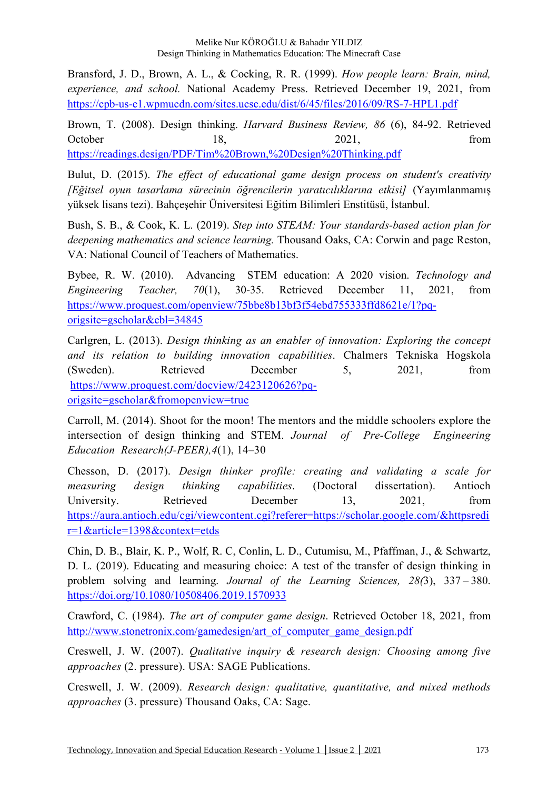Bransford, J. D., Brown, A. L., & Cocking, R. R. (1999). *How people learn: Brain, mind, experience, and school.* National Academy Press. Retrieved December 19, 2021, from https://cpb-us-e1.wpmucdn.com/sites.ucsc.edu/dist/6/45/files/2016/09/RS-7-HPL1.pdf

Brown, T. (2008). Design thinking. *Harvard Business Review, 86* (6), 84-92. Retrieved October 18, 2021, from https://readings.design/PDF/Tim%20Brown,%20Design%20Thinking.pdf

Bulut, D. (2015). *The effect of educational game design process on student's creativity [Eğitsel oyun tasarlama sürecinin öğrencilerin yaratıcılıklarına etkisi]* (Yayımlanmamış yüksek lisans tezi). Bahçeşehir Üniversitesi Eğitim Bilimleri Enstitüsü, İstanbul.

Bush, S. B., & Cook, K. L. (2019). *Step into STEAM: Your standards-based action plan for deepening mathematics and science learning.* Thousand Oaks, CA: Corwin and page Reston, VA: National Council of Teachers of Mathematics.

Bybee, R. W. (2010). Advancing STEM education: A 2020 vision. *Technology and Engineering Teacher, 70*(1), 30-35. Retrieved December 11, 2021, from https://www.proquest.com/openview/75bbe8b13bf3f54ebd755333ffd8621e/1?pqorigsite=gscholar&cbl=34845

Carlgren, L. (2013). *Design thinking as an enabler of innovation: Exploring the concept and its relation to building innovation capabilities*. Chalmers Tekniska Hogskola (Sweden). Retrieved December 5, 2021, from https://www.proquest.com/docview/2423120626?pqorigsite=gscholar&fromopenview=true

Carroll, M. (2014). Shoot for the moon! The mentors and the middle schoolers explore the intersection of design thinking and STEM. *Journal of Pre-College Engineering Education Research(J-PEER),4*(1), 14–30

Chesson, D. (2017). *Design thinker profile: creating and validating a scale for measuring design thinking capabilities*. (Doctoral dissertation). Antioch University. Retrieved December 13, 2021, from https://aura.antioch.edu/cgi/viewcontent.cgi?referer=https://scholar.google.com/&httpsredi r=1&article=1398&context=etds

Chin, D. B., Blair, K. P., Wolf, R. C, Conlin, L. D., Cutumisu, M., Pfaffman, J., & Schwartz, D. L. (2019). Educating and measuring choice: A test of the transfer of design thinking in problem solving and learning. *Journal of the Learning Sciences, 28(*3), 337 – 380. https://doi.org/10.1080/10508406.2019.1570933

Crawford, C. (1984). *The art of computer game design*. Retrieved October 18, 2021, from http://www.stonetronix.com/gamedesign/art\_of\_computer\_game\_design.pdf

Creswell, J. W. (2007). *Qualitative inquiry & research design: Choosing among five approaches* (2. pressure). USA: SAGE Publications.

Creswell, J. W. (2009). *Research design: qualitative, quantitative, and mixed methods approaches* (3. pressure) Thousand Oaks, CA: Sage.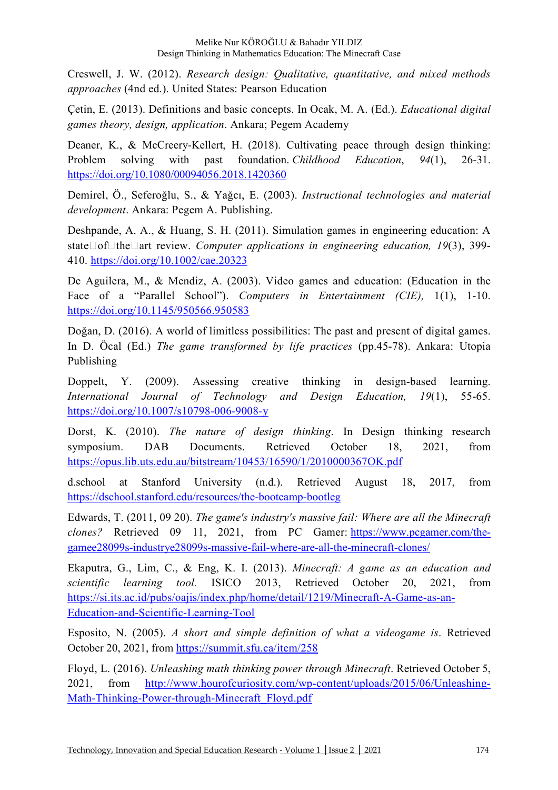Creswell, J. W. (2012). *Research design: Qualitative, quantitative, and mixed methods approaches* (4nd ed.). United States: Pearson Education

Çetin, E. (2013). Definitions and basic concepts. In Ocak, M. A. (Ed.). *Educational digital games theory, design, application*. Ankara; Pegem Academy

Deaner, K., & McCreery-Kellert, H. (2018). Cultivating peace through design thinking: Problem solving with past foundation. *Childhood Education*, *94*(1), 26-31. https://doi.org/10.1080/00094056.2018.1420360

Demirel, Ö., Seferoğlu, S., & Yağcı, E. (2003). *Instructional technologies and material development*. Ankara: Pegem A. Publishing.

Deshpande, A. A., & Huang, S. H. (2011). Simulation games in engineering education: A state $\Box$ of $\Box$ the $\Box$ art review. *Computer applications in engineering education, 19*(3), 399-410. https://doi.org/10.1002/cae.20323

De Aguilera, M., & Mendiz, A. (2003). Video games and education: (Education in the Face of a "Parallel School"). *Computers in Entertainment (CIE)*, 1(1), 1-10. https://doi.org/10.1145/950566.950583

Doğan, D. (2016). A world of limitless possibilities: The past and present of digital games. In D. Öcal (Ed.) *The game transformed by life practices* (pp.45-78). Ankara: Utopia Publishing

Doppelt, Y. (2009). Assessing creative thinking in design-based learning. *International Journal of Technology and Design Education, 19*(1), 55-65. https://doi.org/10.1007/s10798-006-9008-y

Dorst, K. (2010). *The nature of design thinking*. In Design thinking research symposium. DAB Documents. Retrieved October 18, 2021, from https://opus.lib.uts.edu.au/bitstream/10453/16590/1/2010000367OK.pdf

d.school at Stanford University (n.d.). Retrieved August 18, 2017, from https://dschool.stanford.edu/resources/the-bootcamp-bootleg

Edwards, T. (2011, 09 20). *The game's industry's massive fail: Where are all the Minecraft clones?* Retrieved 09 11, 2021, from PC Gamer: https://www.pcgamer.com/thegamee28099s-industrye28099s-massive-fail-where-are-all-the-minecraft-clones/

Ekaputra, G., Lim, C., & Eng, K. I. (2013). *Minecraft: A game as an education and scientific learning tool.* ISICO 2013, Retrieved October 20, 2021, from https://si.its.ac.id/pubs/oajis/index.php/home/detail/1219/Minecraft-A-Game-as-an-Education-and-Scientific-Learning-Tool

Esposito, N. (2005). *A short and simple definition of what a videogame is*. Retrieved October 20, 2021, from https://summit.sfu.ca/item/258

Floyd, L. (2016). *Unleashing math thinking power through Minecraft*. Retrieved October 5, 2021, from http://www.hourofcuriosity.com/wp-content/uploads/2015/06/Unleashing-Math-Thinking-Power-through-Minecraft\_Floyd.pdf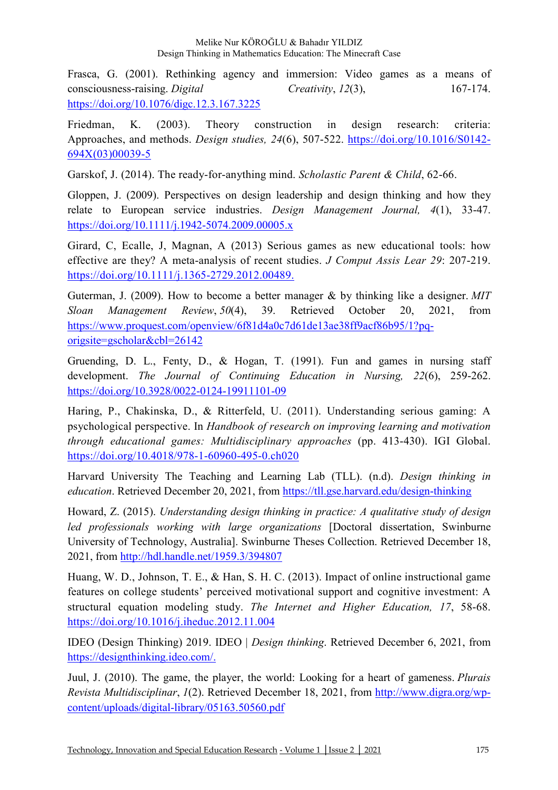#### Melike Nur KÖROĞLU & Bahadır YILDIZ Design Thinking in Mathematics Education: The Minecraft Case

Frasca, G. (2001). Rethinking agency and immersion: Video games as a means of consciousness-raising. *Digital Creativity*, *12*(3), 167-174. https://doi.org/10.1076/digc.12.3.167.3225

Friedman, K. (2003). Theory construction in design research: criteria: Approaches, and methods. *Design studies, 24*(6), 507-522. https://doi.org/10.1016/S0142- 694X(03)00039-5

Garskof, J. (2014). The ready-for-anything mind. *Scholastic Parent & Child*, 62-66.

Gloppen, J. (2009). Perspectives on design leadership and design thinking and how they relate to European service industries. *Design Management Journal, 4*(1), 33-47. https://doi.org/10.1111/j.1942-5074.2009.00005.x

Girard, C, Ecalle, J, Magnan, A (2013) Serious games as new educational tools: how effective are they? A meta-analysis of recent studies. *J Comput Assis Lear 29*: 207-219. https://doi.org/10.1111/j.1365-2729.2012.00489.

Guterman, J. (2009). How to become a better manager & by thinking like a designer. *MIT Sloan Management Review*, *50*(4), 39. Retrieved October 20, 2021, from https://www.proquest.com/openview/6f81d4a0c7d61de13ae38ff9acf86b95/1?pqorigsite=gscholar&cbl=26142

Gruending, D. L., Fenty, D., & Hogan, T. (1991). Fun and games in nursing staff development. *The Journal of Continuing Education in Nursing, 22*(6), 259-262. https://doi.org/10.3928/0022-0124-19911101-09

Haring, P., Chakinska, D., & Ritterfeld, U. (2011). Understanding serious gaming: A psychological perspective. In *Handbook of research on improving learning and motivation through educational games: Multidisciplinary approaches* (pp. 413-430). IGI Global. https://doi.org/10.4018/978-1-60960-495-0.ch020

Harvard University The Teaching and Learning Lab (TLL). (n.d). *Design thinking in education*. Retrieved December 20, 2021, from https://tll.gse.harvard.edu/design-thinking

Howard, Z. (2015). *Understanding design thinking in practice: A qualitative study of design led professionals working with large organizations* [Doctoral dissertation, Swinburne University of Technology, Australia]. Swinburne Theses Collection. Retrieved December 18, 2021, from http://hdl.handle.net/1959.3/394807

Huang, W. D., Johnson, T. E., & Han, S. H. C. (2013). Impact of online instructional game features on college students' perceived motivational support and cognitive investment: A structural equation modeling study. *The Internet and Higher Education, 17*, 58-68. https://doi.org/10.1016/j.iheduc.2012.11.004

IDEO (Design Thinking) 2019. IDEO | *Design thinking*. Retrieved December 6, 2021, from https://designthinking.ideo.com/.

Juul, J. (2010). The game, the player, the world: Looking for a heart of gameness. *Plurais Revista Multidisciplinar*, *1*(2). Retrieved December 18, 2021, from http://www.digra.org/wpcontent/uploads/digital-library/05163.50560.pdf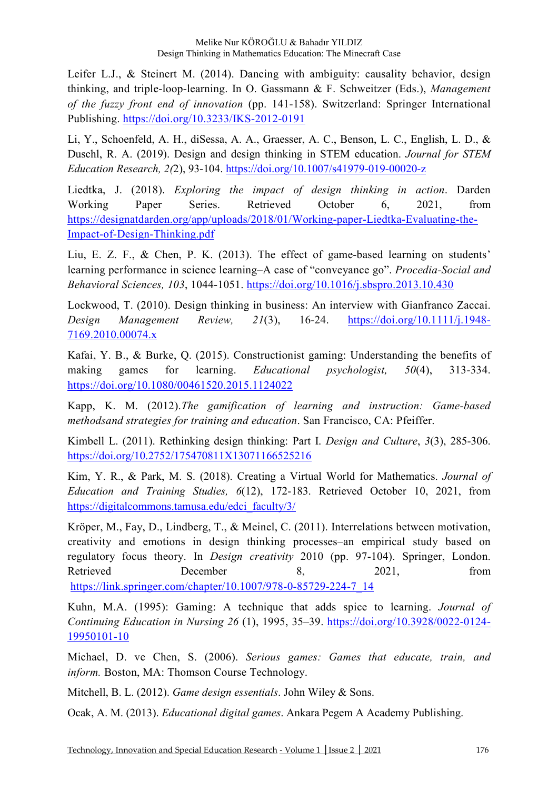Leifer L.J., & Steinert M. (2014). Dancing with ambiguity: causality behavior, design thinking, and triple-loop-learning. In O. Gassmann & F. Schweitzer (Eds.), *Management of the fuzzy front end of innovation* (pp. 141-158). Switzerland: Springer International Publishing. https://doi.org/10.3233/IKS-2012-0191

Li, Y., Schoenfeld, A. H., diSessa, A. A., Graesser, A. C., Benson, L. C., English, L. D., & Duschl, R. A. (2019). Design and design thinking in STEM education. *Journal for STEM Education Research, 2(*2), 93-104. https://doi.org/10.1007/s41979-019-00020-z

Liedtka, J. (2018). *Exploring the impact of design thinking in action*. Darden Working Paper Series. Retrieved October 6, 2021, from https://designatdarden.org/app/uploads/2018/01/Working-paper-Liedtka-Evaluating-the-Impact-of-Design-Thinking.pdf

Liu, E. Z. F., & Chen, P. K. (2013). The effect of game-based learning on students' learning performance in science learning–A case of "conveyance go". *Procedia-Social and Behavioral Sciences, 103*, 1044-1051. https://doi.org/10.1016/j.sbspro.2013.10.430

Lockwood, T. (2010). Design thinking in business: An interview with Gianfranco Zaccai. *Design Management Review, 21*(3), 16-24. https://doi.org/10.1111/j.1948- 7169.2010.00074.x

Kafai, Y. B., & Burke, Q. (2015). Constructionist gaming: Understanding the benefits of making games for learning. *Educational psychologist, 50*(4), 313-334. https://doi.org/10.1080/00461520.2015.1124022

Kapp, K. M. (2012).*The gamification of learning and instruction: Game-based methodsand strategies for training and education*. San Francisco, CA: Pfeiffer.

Kimbell L. (2011). Rethinking design thinking: Part I. *Design and Culture*, *3*(3), 285-306. https://doi.org/10.2752/175470811X13071166525216

Kim, Y. R., & Park, M. S. (2018). Creating a Virtual World for Mathematics. *Journal of Education and Training Studies, 6*(12), 172-183. Retrieved October 10, 2021, from https://digitalcommons.tamusa.edu/edci\_faculty/3/

Kröper, M., Fay, D., Lindberg, T., & Meinel, C. (2011). Interrelations between motivation, creativity and emotions in design thinking processes–an empirical study based on regulatory focus theory. In *Design creativity* 2010 (pp. 97-104). Springer, London. Retrieved December 8, 2021, from https://link.springer.com/chapter/10.1007/978-0-85729-224-7\_14

Kuhn, M.A. (1995): Gaming: A technique that adds spice to learning. *Journal of Continuing Education in Nursing 26* (1), 1995, 35–39. https://doi.org/10.3928/0022-0124- 19950101-10

Michael, D. ve Chen, S. (2006). *Serious games: Games that educate, train, and inform.* Boston, MA: Thomson Course Technology.

Mitchell, B. L. (2012). *Game design essentials*. John Wiley & Sons.

Ocak, A. M. (2013). *Educational digital games*. Ankara Pegem A Academy Publishing.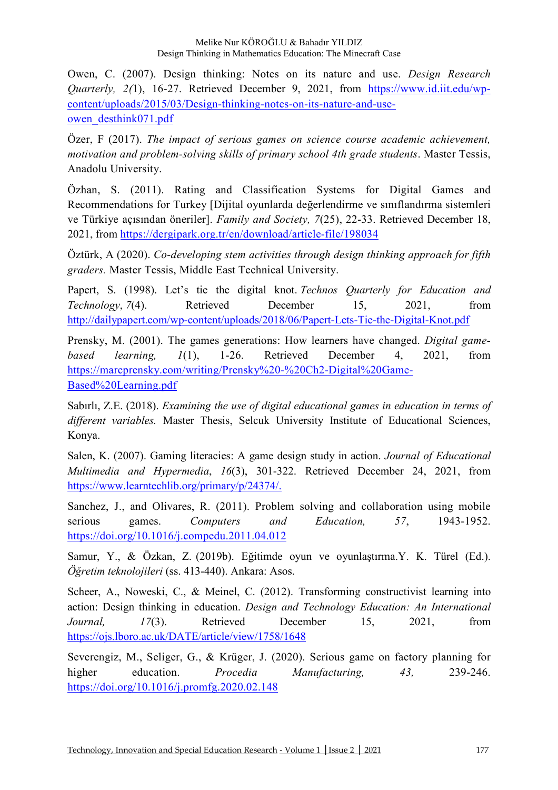Owen, C. (2007). Design thinking: Notes on its nature and use. *Design Research Quarterly, 2(*1), 16-27. Retrieved December 9, 2021, from https://www.id.iit.edu/wpcontent/uploads/2015/03/Design-thinking-notes-on-its-nature-and-useowen\_desthink071.pdf

Özer, F (2017). *The impact of serious games on science course academic achievement, motivation and problem-solving skills of primary school 4th grade students*. Master Tessis, Anadolu University.

Özhan, S. (2011). Rating and Classification Systems for Digital Games and Recommendations for Turkey [Dijital oyunlarda değerlendirme ve sınıflandırma sistemleri ve Türkiye açısından öneriler]. *Family and Society, 7*(25), 22-33. Retrieved December 18, 2021, from https://dergipark.org.tr/en/download/article-file/198034

Öztürk, A (2020). *Co-developing stem activities through design thinking approach for fifth graders.* Master Tessis, Middle East Technical University.

Papert, S. (1998). Let's tie the digital knot. *Technos Quarterly for Education and Technology*, 7(4). Retrieved December 15, 2021, from http://dailypapert.com/wp-content/uploads/2018/06/Papert-Lets-Tie-the-Digital-Knot.pdf

Prensky, M. (2001). The games generations: How learners have changed. *Digital gamebased learning, 1*(1), 1-26. Retrieved December 4, 2021, from https://marcprensky.com/writing/Prensky%20-%20Ch2-Digital%20Game-Based%20Learning.pdf

Sabırlı, Z.E. (2018). *Examining the use of digital educational games in education in terms of different variables.* Master Thesis, Selcuk University Institute of Educational Sciences, Konya.

Salen, K. (2007). Gaming literacies: A game design study in action. *Journal of Educational Multimedia and Hypermedia*, *16*(3), 301-322. Retrieved December 24, 2021, from https://www.learntechlib.org/primary/p/24374/.

Sanchez, J., and Olivares, R. (2011). Problem solving and collaboration using mobile serious games. *Computers and Education, 57*, 1943-1952. https://doi.org/10.1016/j.compedu.2011.04.012

Samur, Y., & Özkan, Z. (2019b). Eğitimde oyun ve oyunlaştırma.Y. K. Türel (Ed.). *Öğretim teknolojileri* (ss. 413-440). Ankara: Asos.

Scheer, A., Noweski, C., & Meinel, C. (2012). Transforming constructivist learning into action: Design thinking in education. *Design and Technology Education: An International Journal, 17*(3). Retrieved December 15, 2021, from https://ojs.lboro.ac.uk/DATE/article/view/1758/1648

Severengiz, M., Seliger, G., & Krüger, J. (2020). Serious game on factory planning for higher education. *Procedia Manufacturing, 43,* 239-246. https://doi.org/10.1016/j.promfg.2020.02.148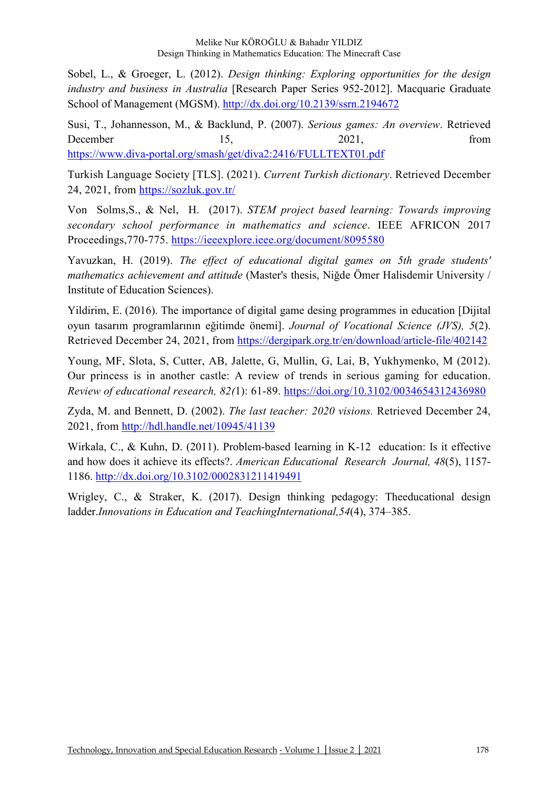Sobel, L., & Groeger, L. (2012). *Design thinking: Exploring opportunities for the design industry and business in Australia* [Research Paper Series 952-2012]. Macquarie Graduate School of Management (MGSM). http://dx.doi.org/10.2139/ssrn.2194672

Susi, T., Johannesson, M., & Backlund, P. (2007). *Serious games: An overview*. Retrieved December 15, 2021, from https://www.diva-portal.org/smash/get/diva2:2416/FULLTEXT01.pdf

Turkish Language Society [TLS]. (2021). *Current Turkish dictionary*. Retrieved December 24, 2021, from https://sozluk.gov.tr/

Von Solms,S., & Nel, H. (2017). *STEM project based learning: Towards improving secondary school performance in mathematics and science*. IEEE AFRICON 2017 Proceedings,770-775. https://ieeexplore.ieee.org/document/8095580

Yavuzkan, H. (2019). *The effect of educational digital games on 5th grade students' mathematics achievement and attitude* (Master's thesis, Niğde Ömer Halisdemir University / Institute of Education Sciences).

Yildirim, E. (2016). The importance of digital game desing programmes in education [Dijital oyun tasarım programlarının eğitimde önemi]. *Journal of Vocational Science (JVS), 5*(2). Retrieved December 24, 2021, from https://dergipark.org.tr/en/download/article-file/402142

Young, MF, Slota, S, Cutter, AB, Jalette, G, Mullin, G, Lai, B, Yukhymenko, M (2012). Our princess is in another castle: A review of trends in serious gaming for education. *Review of educational research, 82(*1): 61-89. https://doi.org/10.3102/0034654312436980

Zyda, M. and Bennett, D. (2002). *The last teacher: 2020 visions.* Retrieved December 24, 2021, from http://hdl.handle.net/10945/41139

Wirkala, C., & Kuhn, D. (2011). Problem-based learning in K-12 education: Is it effective and how does it achieve its effects?. *American Educational Research Journal, 48*(5), 1157- 1186. http://dx.doi.org/10.3102/0002831211419491

Wrigley, C., & Straker, K. (2017). Design thinking pedagogy: Theeducational design ladder.*Innovations in Education and TeachingInternational,54*(4), 374–385.